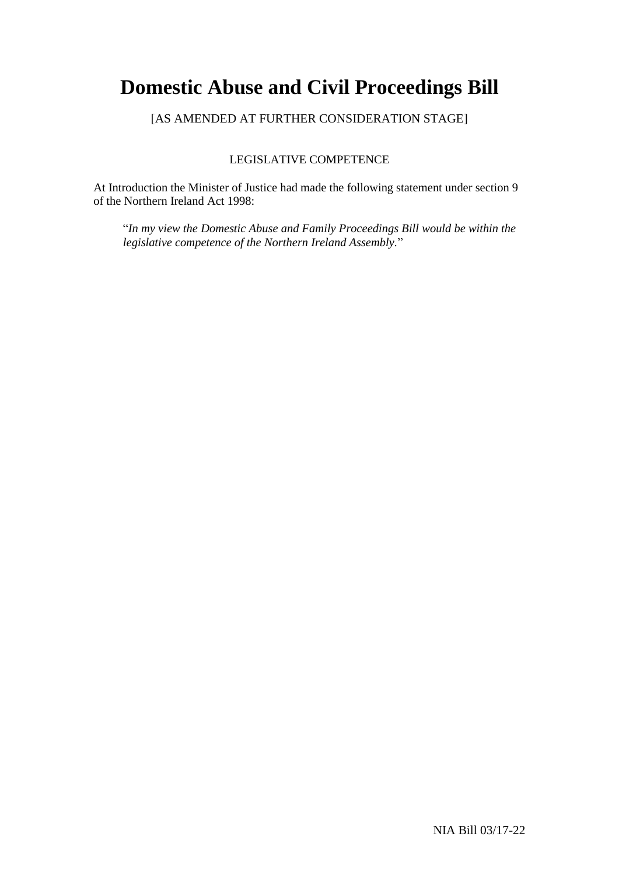# **Domestic Abuse and Civil Proceedings Bill**

[AS AMENDED AT FURTHER CONSIDERATION STAGE]

# LEGISLATIVE COMPETENCE

At Introduction the Minister of Justice had made the following statement under section 9 of the Northern Ireland Act 1998:

"*In my view the Domestic Abuse and Family Proceedings Bill would be within the legislative competence of the Northern Ireland Assembly.*"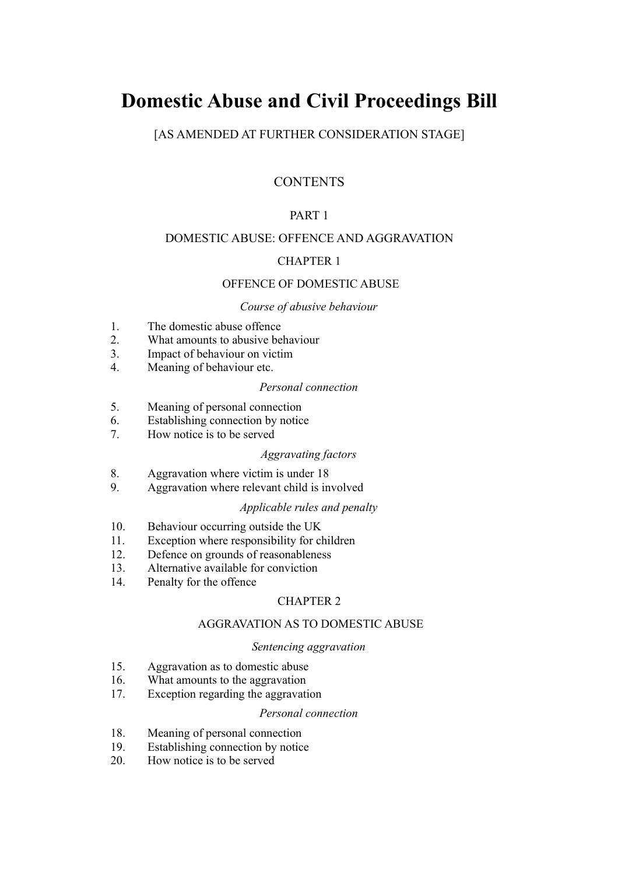# **Domestic Abuse and Civil Proceedings Bill**

# [AS AMENDED AT FURTHER CONSIDERATION STAGE]

# **CONTENTS**

# PART 1

# DOMESTIC ABUSE: OFFENCE AND AGGRAVATION

# CHAPTER 1

# OFFENCE OF DOMESTIC ABUSE

# *Course of abusive behaviour*

- 1. The domestic abuse offence
- 2. What amounts to abusive behaviour
- 3. Impact of behaviour on victim
- 4. Meaning of behaviour etc.

# *Personal connection*

- 5. Meaning of personal connection
- 6. Establishing connection by notice
- 7. How notice is to be served

# *Aggravating factors*

- 8. Aggravation where victim is under 18
- 9. Aggravation where relevant child is involved

# *Applicable rules and penalty*

- 10. Behaviour occurring outside the UK
- 11. Exception where responsibility for children
- 12. Defence on grounds of reasonableness
- 13. Alternative available for conviction
- 14. Penalty for the offence

# CHAPTER 2

# AGGRAVATION AS TO DOMESTIC ABUSE

# *Sentencing aggravation*

- 15. Aggravation as to domestic abuse
- 16. What amounts to the aggravation
- 17. Exception regarding the aggravation

# *Personal connection*

- 18. Meaning of personal connection
- 19. Establishing connection by notice
- 20. How notice is to be served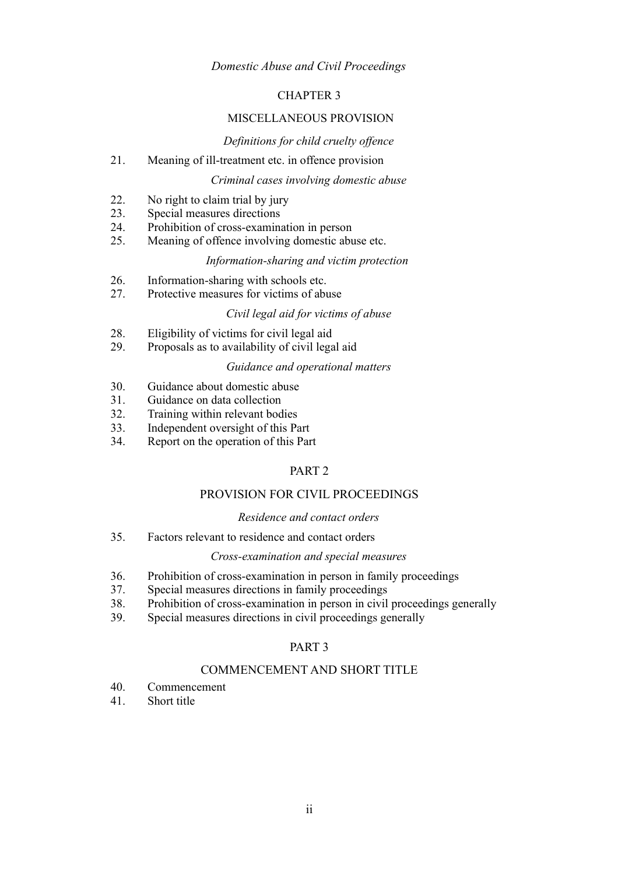# *Domestic Abuse and Civil Proceedings*

# CHAPTER 3

# MISCELLANEOUS PROVISION

# *Definitions for child cruelty offence*

21. Meaning of ill-treatment etc. in offence provision

# *Criminal cases involving domestic abuse*

- 22. No right to claim trial by jury
- 23. Special measures directions
- 24. Prohibition of cross-examination in person
- 25. Meaning of offence involving domestic abuse etc.

# *Information-sharing and victim protection*

- 26. Information-sharing with schools etc.
- 27. Protective measures for victims of abuse

# *Civil legal aid for victims of abuse*

- 28. Eligibility of victims for civil legal aid
- 29. Proposals as to availability of civil legal aid

# *Guidance and operational matters*

- 30. Guidance about domestic abuse
- 31. Guidance on data collection
- 32. Training within relevant bodies
- 33. Independent oversight of this Part
- 34. Report on the operation of this Part

# PART 2

# PROVISION FOR CIVIL PROCEEDINGS

# *Residence and contact orders*

35. Factors relevant to residence and contact orders

### *Cross-examination and special measures*

- 36. Prohibition of cross-examination in person in family proceedings
- 37. Special measures directions in family proceedings
- 38. Prohibition of cross-examination in person in civil proceedings generally
- 39. Special measures directions in civil proceedings generally

# PART 3

# COMMENCEMENT AND SHORT TITLE

- 40. Commencement
- 41. Short title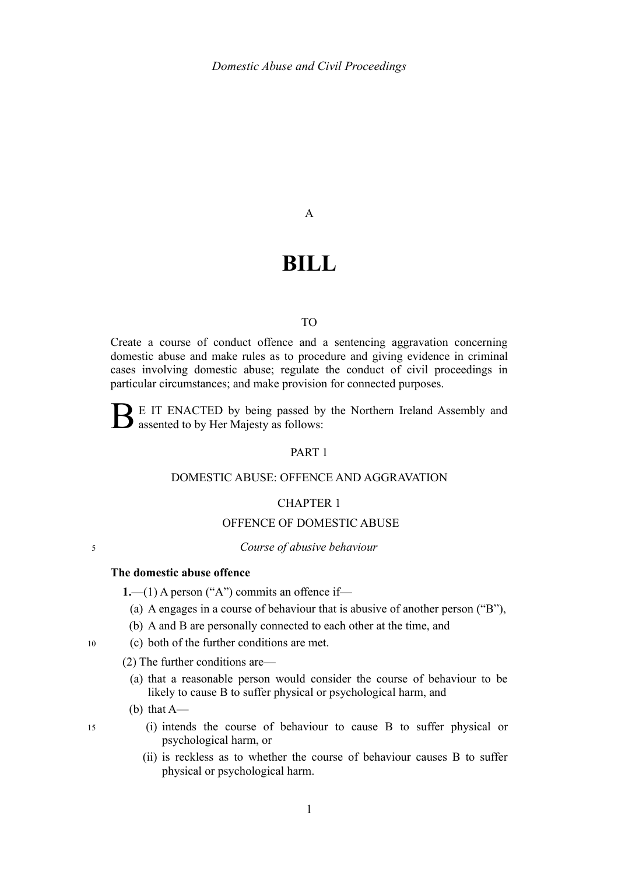# A

# **BILL**

## TO

Create a course of conduct offence and a sentencing aggravation concerning domestic abuse and make rules as to procedure and giving evidence in criminal cases involving domestic abuse; regulate the conduct of civil proceedings in particular circumstances; and make provision for connected purposes.

B E IT ENACTED by being passed by the Northern Ireland Assembly and assented to by Her Majesty as follows:

#### PART 1

# DOMESTIC ABUSE: OFFENCE AND AGGRAVATION

#### CHAPTER 1

#### OFFENCE OF DOMESTIC ABUSE

### *Course of abusive behaviour*

#### **The domestic abuse offence**

5

15

<span id="page-4-0"></span>**1.**—(1) A person ("A") commits an offence if—

- (a) A engages in a course of behaviour that is abusive of another person ("B"),
- (b) A and B are personally connected to each other at the time, and
- (c) both of the further conditions are met. 10
	- (2) The further conditions are—
		- (a) that a reasonable person would consider the course of behaviour to be likely to cause B to suffer physical or psychological harm, and
		- (b) that  $A$ 
			- (i) intends the course of behaviour to cause B to suffer physical or psychological harm, or
			- (ii) is reckless as to whether the course of behaviour causes B to suffer physical or psychological harm.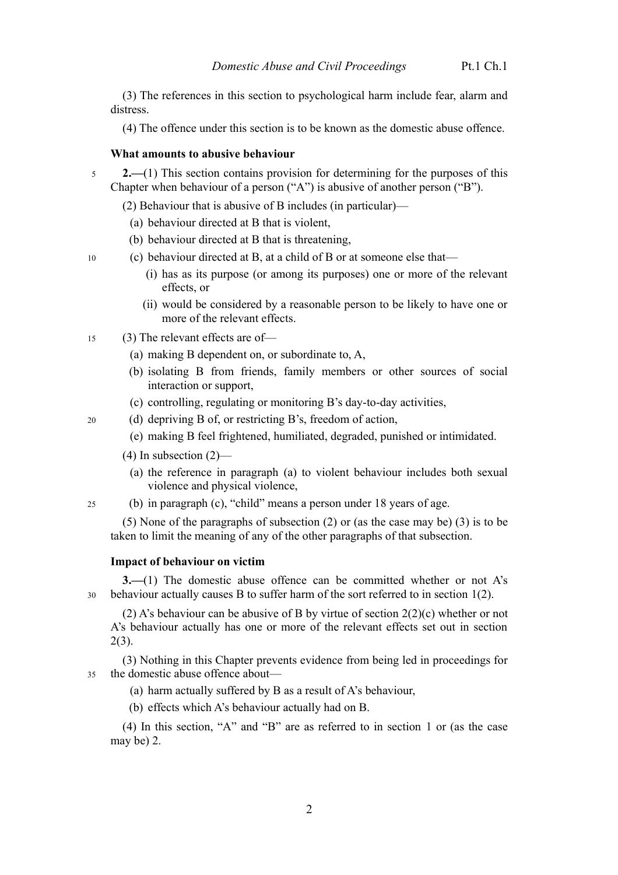(3) The references in this section to psychological harm include fear, alarm and distress.

(4) The offence under this section is to be known as the domestic abuse offence.

#### <span id="page-5-1"></span>**What amounts to abusive behaviour**

- <span id="page-5-0"></span>**2.—**(1) This section contains provision for determining for the purposes of this Chapter when behaviour of a person ("A") is abusive of another person ("B"). 5
	- (2) Behaviour that is abusive of B includes (in particular)—
		- (a) behaviour directed at B that is violent,
		- (b) behaviour directed at B that is threatening,
- <span id="page-5-4"></span><span id="page-5-3"></span>(c) behaviour directed at B, at a child of B or at someone else that— 10
	- (i) has as its purpose (or among its purposes) one or more of the relevant effects, or
	- (ii) would be considered by a reasonable person to be likely to have one or more of the relevant effects.
- <span id="page-5-2"></span>(3) The relevant effects are of— 15
	- (a) making B dependent on, or subordinate to, A,
	- (b) isolating B from friends, family members or other sources of social interaction or support,
	- (c) controlling, regulating or monitoring B's day-to-day activities,
	- (d) depriving B of, or restricting B's, freedom of action,
		- (e) making B feel frightened, humiliated, degraded, punished or intimidated.
		- (4) In subsection [\(2\)—](#page-5-0)

20

- (a) the reference in paragraph [\(a\)](#page-5-4) to violent behaviour includes both sexual violence and physical violence,
- (b) in paragraph [\(c\),](#page-5-3) "child" means a person under 18 years of age. 25

(5) None of the paragraphs of subsection [\(2\)](#page-5-0) or (as the case may be) [\(3\)](#page-5-2) is to be taken to limit the meaning of any of the other paragraphs of that subsection.

#### **Impact of behaviour on victim**

**3.—**(1) The domestic abuse offence can be committed whether or not A's behaviour actually causes B to suffer harm of the sort referred to in section [1\(](#page-4-0)2). 30

(2) A's behaviour can be abusive of B by virtue of section [2\(](#page-5-1)2)(c) whether or not A's behaviour actually has one or more of the relevant effects set out in section [2\(](#page-5-1)3).

(3) Nothing in this Chapter prevents evidence from being led in proceedings for the domestic abuse offence about— 35

- (a) harm actually suffered by B as a result of A's behaviour,
- (b) effects which A's behaviour actually had on B.

(4) In this section, "A" and "B" are as referred to in section [1](#page-4-0) or (as the case may be) [2.](#page-5-1)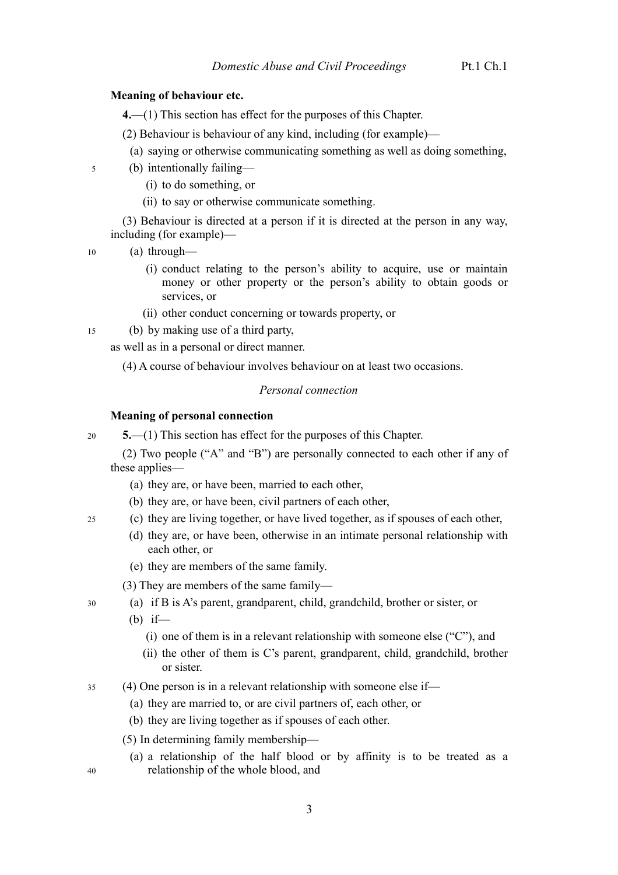# **Meaning of behaviour etc.**

<span id="page-6-1"></span>**4.—**(1) This section has effect for the purposes of this Chapter.

- (2) Behaviour is behaviour of any kind, including (for example)—
	- (a) saying or otherwise communicating something as well as doing something,
- (b) intentionally failing— 5
	- (i) to do something, or
	- (ii) to say or otherwise communicate something.

(3) Behaviour is directed at a person if it is directed at the person in any way, including (for example)—

(a) through— 10

15

- (i) conduct relating to the person's ability to acquire, use or maintain money or other property or the person's ability to obtain goods or services, or
- (ii) other conduct concerning or towards property, or

(b) by making use of a third party,

as well as in a personal or direct manner.

(4) A course of behaviour involves behaviour on at least two occasions.

#### *Personal connection*

#### <span id="page-6-0"></span>**Meaning of personal connection**

**5.**—(1) This section has effect for the purposes of this Chapter. 20

(2) Two people ("A" and "B") are personally connected to each other if any of these applies—

- (a) they are, or have been, married to each other,
- (b) they are, or have been, civil partners of each other,
- (c) they are living together, or have lived together, as if spouses of each other, 25
	- (d) they are, or have been, otherwise in an intimate personal relationship with each other, or
	- (e) they are members of the same family.
	- (3) They are members of the same family—
- (a) if B is A's parent, grandparent, child, grandchild, brother or sister, or 30
	- $(b)$  if—
		- (i) one of them is in a relevant relationship with someone else ("C"), and
		- (ii) the other of them is C's parent, grandparent, child, grandchild, brother or sister.
- (4) One person is in a relevant relationship with someone else if— 35
	- (a) they are married to, or are civil partners of, each other, or
	- (b) they are living together as if spouses of each other.
	- (5) In determining family membership—
		- (a) a relationship of the half blood or by affinity is to be treated as a relationship of the whole blood, and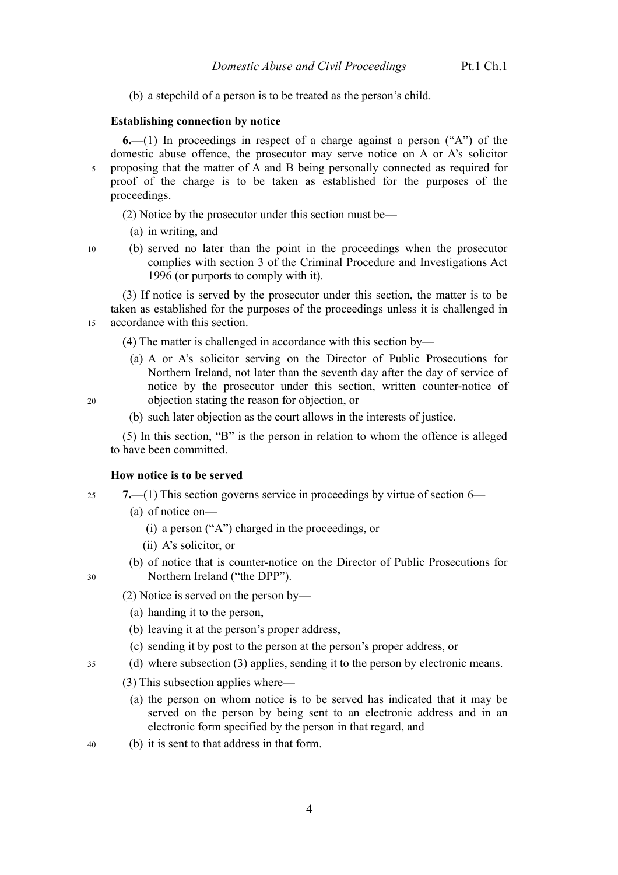(b) a stepchild of a person is to be treated as the person's child.

#### <span id="page-7-1"></span>**Establishing connection by notice**

**6.**—(1) In proceedings in respect of a charge against a person ("A") of the domestic abuse offence, the prosecutor may serve notice on A or A's solicitor proposing that the matter of A and B being personally connected as required for proof of the charge is to be taken as established for the purposes of the proceedings. 5

(2) Notice by the prosecutor under this section must be—

(a) in writing, and

10

(b) served no later than the point in the proceedings when the prosecutor complies with section 3 of the Criminal Procedure and Investigations Act 1996 (or purports to comply with it).

(3) If notice is served by the prosecutor under this section, the matter is to be taken as established for the purposes of the proceedings unless it is challenged in accordance with this section. 15

- (4) The matter is challenged in accordance with this section by—
	- (a) A or A's solicitor serving on the Director of Public Prosecutions for Northern Ireland, not later than the seventh day after the day of service of notice by the prosecutor under this section, written counter-notice of objection stating the reason for objection, or

 $20$ 

30

<span id="page-7-0"></span>35

(b) such later objection as the court allows in the interests of justice.

(5) In this section, "B" is the person in relation to whom the offence is alleged to have been committed.

#### **How notice is to be served**

- **7.**—(1) This section governs service in proceedings by virtue of section [6—](#page-7-1) 25
	- (a) of notice on—
		- (i) a person ("A") charged in the proceedings, or
		- (ii) A's solicitor, or
	- (b) of notice that is counter-notice on the Director of Public Prosecutions for Northern Ireland ("the DPP").
	- (2) Notice is served on the person by—
		- (a) handing it to the person,
		- (b) leaving it at the person's proper address,
		- (c) sending it by post to the person at the person's proper address, or
	- (d) where subsection [\(3\)](#page-7-0) applies, sending it to the person by electronic means.
		- (3) This subsection applies where—
			- (a) the person on whom notice is to be served has indicated that it may be served on the person by being sent to an electronic address and in an electronic form specified by the person in that regard, and
- (b) it is sent to that address in that form. 40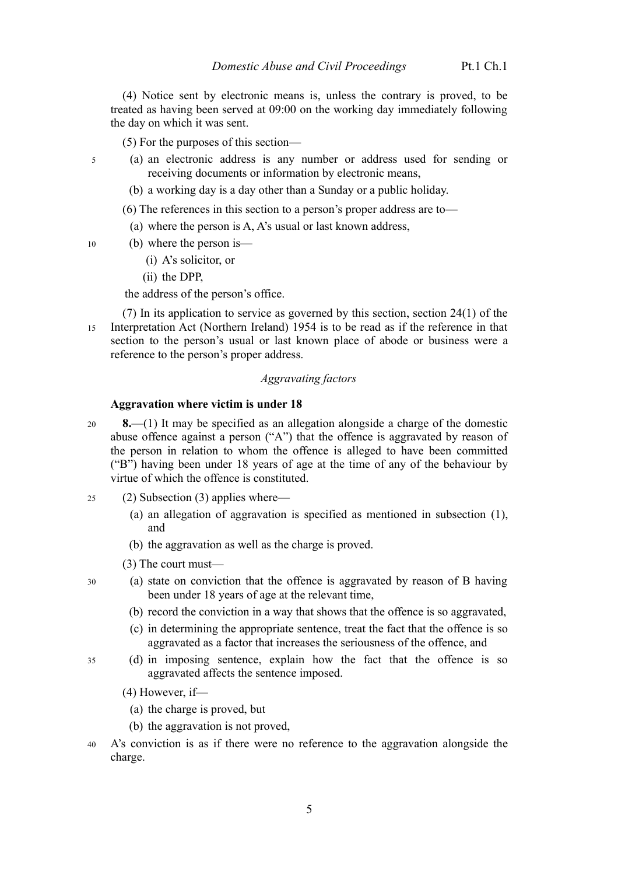(4) Notice sent by electronic means is, unless the contrary is proved, to be treated as having been served at 09:00 on the working day immediately following the day on which it was sent.

(5) For the purposes of this section—

- (a) an electronic address is any number or address used for sending or receiving documents or information by electronic means,
	- (b) a working day is a day other than a Sunday or a public holiday.
	- (6) The references in this section to a person's proper address are to—
		- (a) where the person is A, A's usual or last known address,
- (b) where the person is— 10

5

- (i) A's solicitor, or
- (ii) the DPP,

the address of the person's office.

(7) In its application to service as governed by this section, section 24(1) of the Interpretation Act (Northern Ireland) 1954 is to be read as if the reference in that section to the person's usual or last known place of abode or business were a reference to the person's proper address. 15

#### *Aggravating factors*

# <span id="page-8-0"></span>**Aggravation where victim is under 18**

- **8.**—(1) It may be specified as an allegation alongside a charge of the domestic abuse offence against a person ("A") that the offence is aggravated by reason of the person in relation to whom the offence is alleged to have been committed ("B") having been under 18 years of age at the time of any of the behaviour by virtue of which the offence is constituted. 20
- (2) Subsection [\(3\)](#page-8-1) applies where—  $25$ 
	- (a) an allegation of aggravation is specified as mentioned in subsection [\(1\),](#page-8-0) and
	- (b) the aggravation as well as the charge is proved.
	- (3) The court must—

- <span id="page-8-1"></span>(a) state on conviction that the offence is aggravated by reason of B having been under 18 years of age at the relevant time,
	- (b) record the conviction in a way that shows that the offence is so aggravated,
	- (c) in determining the appropriate sentence, treat the fact that the offence is so aggravated as a factor that increases the seriousness of the offence, and
- (d) in imposing sentence, explain how the fact that the offence is so aggravated affects the sentence imposed. 35
	- (4) However, if—
		- (a) the charge is proved, but
		- (b) the aggravation is not proved,
- A's conviction is as if there were no reference to the aggravation alongside the charge. 40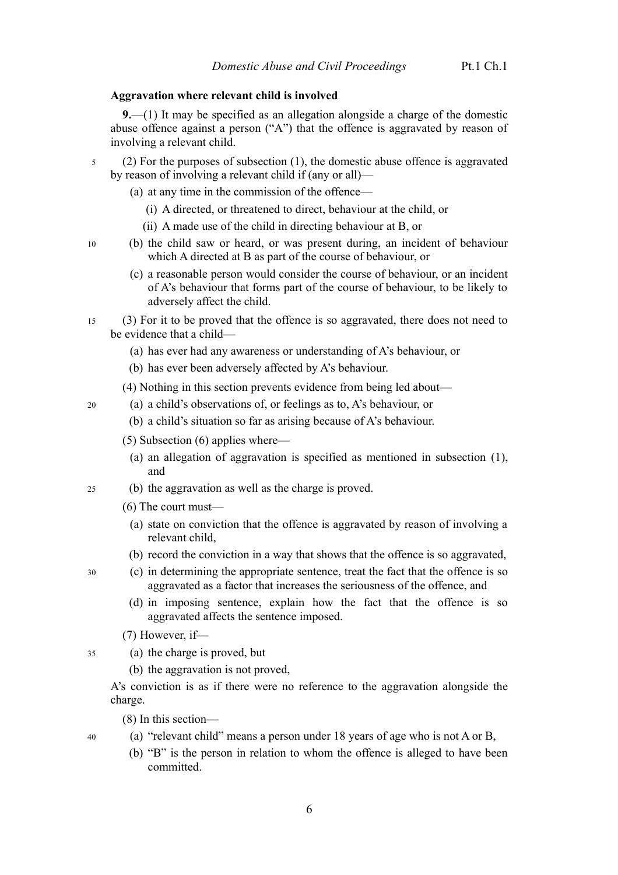# **Aggravation where relevant child is involved**

<span id="page-9-0"></span>**9.**—(1) It may be specified as an allegation alongside a charge of the domestic abuse offence against a person ("A") that the offence is aggravated by reason of involving a relevant child.

- (2) For the purposes of subsection [\(1\),](#page-9-0) the domestic abuse offence is aggravated by reason of involving a relevant child if (any or all)— 5
	- (a) at any time in the commission of the offence—
		- (i) A directed, or threatened to direct, behaviour at the child, or
		- (ii) A made use of the child in directing behaviour at B, or
	- (b) the child saw or heard, or was present during, an incident of behaviour which A directed at B as part of the course of behaviour, or
		- (c) a reasonable person would consider the course of behaviour, or an incident of A's behaviour that forms part of the course of behaviour, to be likely to adversely affect the child.
- (3) For it to be proved that the offence is so aggravated, there does not need to be evidence that a child— 15
	- (a) has ever had any awareness or understanding of A's behaviour, or
	- (b) has ever been adversely affected by A's behaviour.
	- (4) Nothing in this section prevents evidence from being led about—
	- (a) a child's observations of, or feelings as to, A's behaviour, or
		- (b) a child's situation so far as arising because of A's behaviour.
		- (5) Subsection [\(6\)](#page-9-1) applies where—
			- (a) an allegation of aggravation is specified as mentioned in subsection [\(1\),](#page-9-0) and
- <span id="page-9-1"></span>(b) the aggravation as well as the charge is proved. 25
	- (6) The court must—
		- (a) state on conviction that the offence is aggravated by reason of involving a relevant child,
	- (b) record the conviction in a way that shows that the offence is so aggravated,
	- (c) in determining the appropriate sentence, treat the fact that the offence is so aggravated as a factor that increases the seriousness of the offence, and
		- (d) in imposing sentence, explain how the fact that the offence is so aggravated affects the sentence imposed.
		- (7) However, if—
- (a) the charge is proved, but 35
	- (b) the aggravation is not proved,

A's conviction is as if there were no reference to the aggravation alongside the charge.

(8) In this section—

- (a) "relevant child" means a person under 18 years of age who is not A or B,
	- (b) "B" is the person in relation to whom the offence is alleged to have been committed.

20

30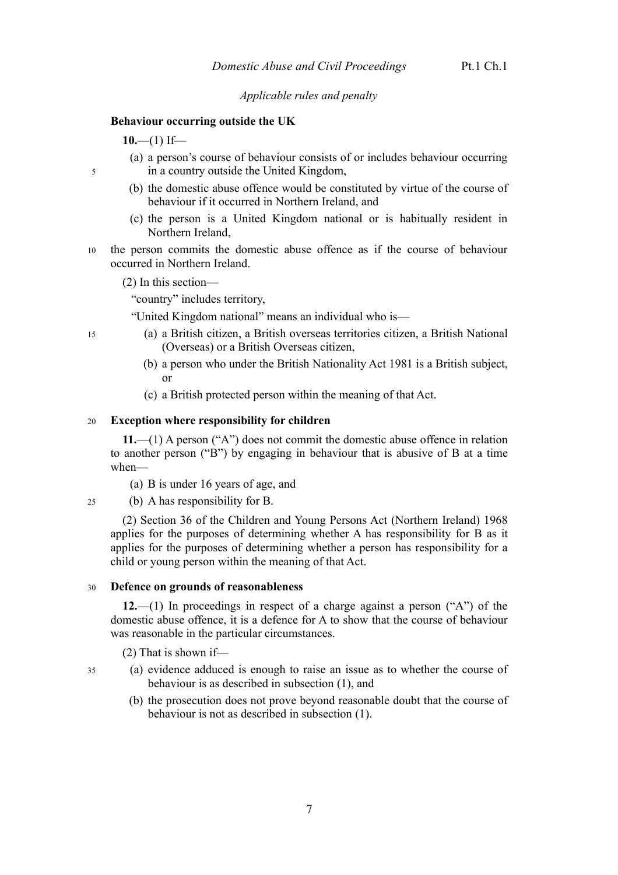*Applicable rules and penalty*

#### **Behaviour occurring outside the UK**

 $10$ —(1) If—

- (a) a person's course of behaviour consists of or includes behaviour occurring in a country outside the United Kingdom,
- (b) the domestic abuse offence would be constituted by virtue of the course of behaviour if it occurred in Northern Ireland, and
- (c) the person is a United Kingdom national or is habitually resident in Northern Ireland,
- the person commits the domestic abuse offence as if the course of behaviour occurred in Northern Ireland. 10

(2) In this section—

"country" includes territory,

"United Kingdom national" means an individual who is—

- (a) a British citizen, a British overseas territories citizen, a British National (Overseas) or a British Overseas citizen,
- (b) a person who under the British Nationality Act 1981 is a British subject, or
- (c) a British protected person within the meaning of that Act.

#### **Exception where responsibility for children**  20

**11.**—(1) A person ("A") does not commit the domestic abuse offence in relation to another person ("B") by engaging in behaviour that is abusive of B at a time when—

- (a) B is under 16 years of age, and
- (b) A has responsibility for B. 25

(2) Section 36 of the Children and Young Persons Act (Northern Ireland) 1968 applies for the purposes of determining whether A has responsibility for B as it applies for the purposes of determining whether a person has responsibility for a child or young person within the meaning of that Act.

#### **Defence on grounds of reasonableness**  30

<span id="page-10-0"></span>**12.**—(1) In proceedings in respect of a charge against a person ("A") of the domestic abuse offence, it is a defence for A to show that the course of behaviour was reasonable in the particular circumstances.

(2) That is shown if—

- (a) evidence adduced is enough to raise an issue as to whether the course of behaviour is as described in subsection [\(1\),](#page-10-0) and
	- (b) the prosecution does not prove beyond reasonable doubt that the course of behaviour is not as described in subsection [\(1\).](#page-10-0)

15

35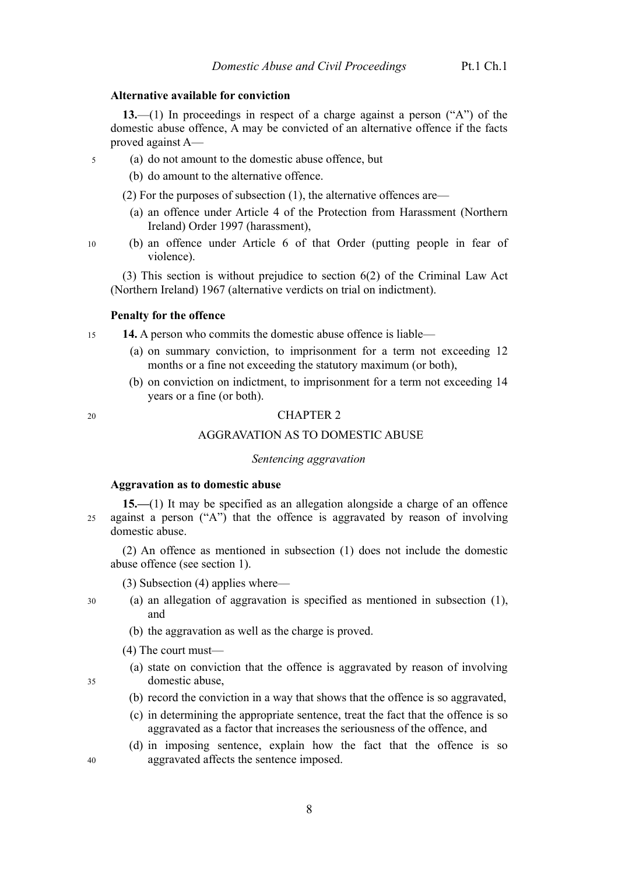# **Alternative available for conviction**

<span id="page-11-2"></span>**13.**—(1) In proceedings in respect of a charge against a person ("A") of the domestic abuse offence, A may be convicted of an alternative offence if the facts proved against A—

- (a) do not amount to the domestic abuse offence, but
	- (b) do amount to the alternative offence.
	- (2) For the purposes of subsection [\(1\),](#page-11-2) the alternative offences are—
		- (a) an offence under Article 4 of the Protection from Harassment (Northern Ireland) Order 1997 (harassment),
- (b) an offence under Article 6 of that Order (putting people in fear of violence).

(3) This section is without prejudice to section 6(2) of the Criminal Law Act (Northern Ireland) 1967 (alternative verdicts on trial on indictment).

#### **Penalty for the offence**

5

10

20

**14.** A person who commits the domestic abuse offence is liable— 15

- (a) on summary conviction, to imprisonment for a term not exceeding 12 months or a fine not exceeding the statutory maximum (or both),
- (b) on conviction on indictment, to imprisonment for a term not exceeding 14 years or a fine (or both).

#### CHAPTER 2

#### AGGRAVATION AS TO DOMESTIC ABUSE

#### *Sentencing aggravation*

### <span id="page-11-3"></span><span id="page-11-0"></span>**Aggravation as to domestic abuse**

**15.—**(1) It may be specified as an allegation alongside a charge of an offence against a person ("A") that the offence is aggravated by reason of involving domestic abuse.  $25$ 

(2) An offence as mentioned in subsection [\(1\)](#page-11-0) does not include the domestic abuse offence (see section [1\)](#page-4-0).

(3) Subsection [\(4\)](#page-11-1) applies where—

- <span id="page-11-1"></span>(a) an allegation of aggravation is specified as mentioned in subsection [\(1\),](#page-11-0) and 30
	- (b) the aggravation as well as the charge is proved.
	- (4) The court must—
	- (a) state on conviction that the offence is aggravated by reason of involving domestic abuse,
	- (b) record the conviction in a way that shows that the offence is so aggravated,
	- (c) in determining the appropriate sentence, treat the fact that the offence is so aggravated as a factor that increases the seriousness of the offence, and
	- (d) in imposing sentence, explain how the fact that the offence is so aggravated affects the sentence imposed.

40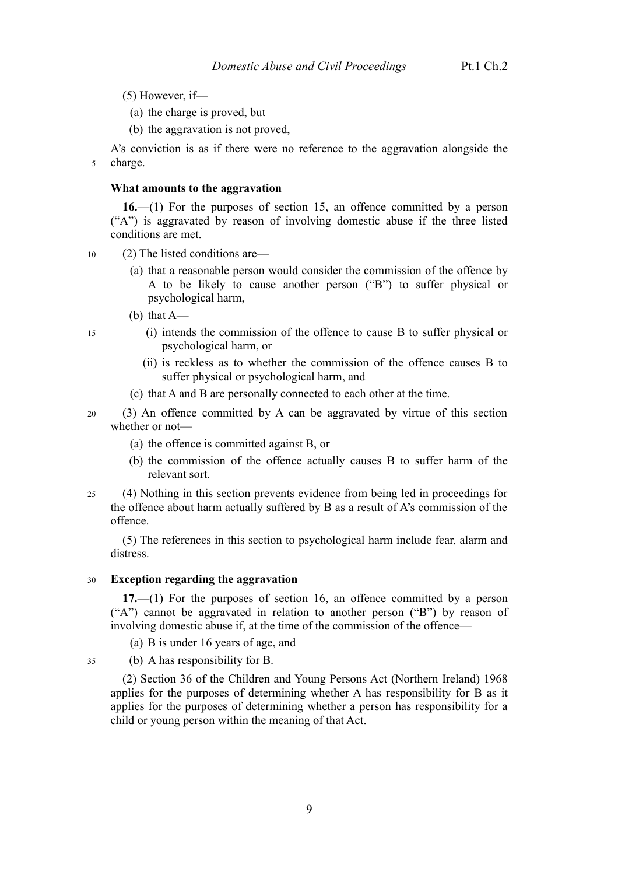(5) However, if—

- (a) the charge is proved, but
- (b) the aggravation is not proved,

A's conviction is as if there were no reference to the aggravation alongside the charge. 5

#### **What amounts to the aggravation**

<span id="page-12-0"></span>**16.**—(1) For the purposes of section [15,](#page-11-3) an offence committed by a person ("A") is aggravated by reason of involving domestic abuse if the three listed conditions are met.

- (2) The listed conditions are— 10
	- (a) that a reasonable person would consider the commission of the offence by A to be likely to cause another person ("B") to suffer physical or psychological harm,
	- (b) that A—

15

- (i) intends the commission of the offence to cause B to suffer physical or psychological harm, or
- (ii) is reckless as to whether the commission of the offence causes B to suffer physical or psychological harm, and
- (c) that A and B are personally connected to each other at the time.
- (3) An offence committed by A can be aggravated by virtue of this section whether or not— 20
	- (a) the offence is committed against B, or
	- (b) the commission of the offence actually causes B to suffer harm of the relevant sort.
- (4) Nothing in this section prevents evidence from being led in proceedings for the offence about harm actually suffered by B as a result of A's commission of the offence.  $25$

(5) The references in this section to psychological harm include fear, alarm and distress.

#### **Exception regarding the aggravation**  30

**17.**—(1) For the purposes of section [16,](#page-12-0) an offence committed by a person ("A") cannot be aggravated in relation to another person ("B") by reason of involving domestic abuse if, at the time of the commission of the offence—

(a) B is under 16 years of age, and

(b) A has responsibility for B. 35

> (2) Section 36 of the Children and Young Persons Act (Northern Ireland) 1968 applies for the purposes of determining whether A has responsibility for B as it applies for the purposes of determining whether a person has responsibility for a child or young person within the meaning of that Act.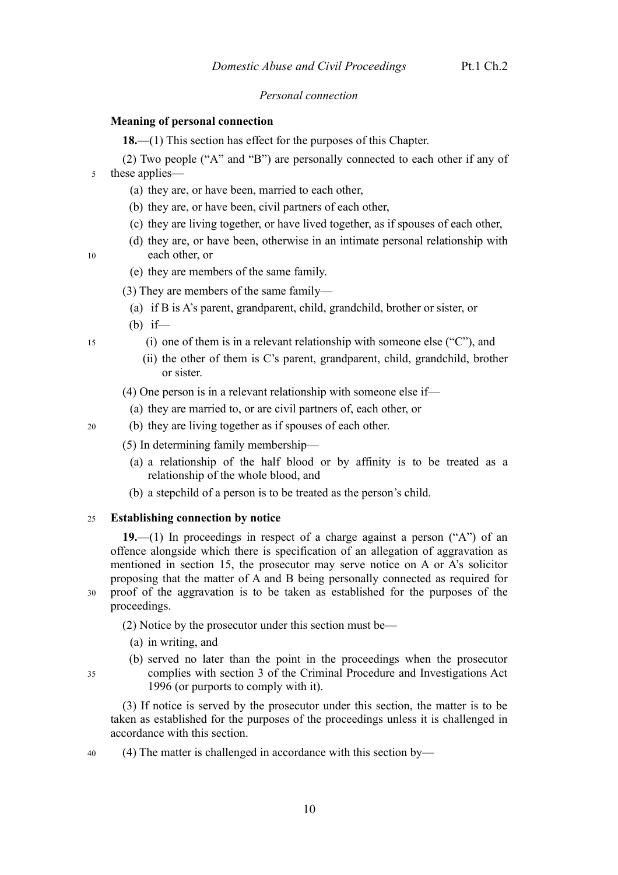# *Personal connection*

#### **Meaning of personal connection**

**18.**—(1) This section has effect for the purposes of this Chapter.

(2) Two people ("A" and "B") are personally connected to each other if any of these applies— 5

- (a) they are, or have been, married to each other,
- (b) they are, or have been, civil partners of each other,
- (c) they are living together, or have lived together, as if spouses of each other,
- (d) they are, or have been, otherwise in an intimate personal relationship with each other, or

10

15

- (e) they are members of the same family.
- (3) They are members of the same family—
	- (a) if B is A's parent, grandparent, child, grandchild, brother or sister, or
- $(b)$  if—
	- (i) one of them is in a relevant relationship with someone else ("C"), and
	- (ii) the other of them is C's parent, grandparent, child, grandchild, brother or sister.
- (4) One person is in a relevant relationship with someone else if—
	- (a) they are married to, or are civil partners of, each other, or
- (b) they are living together as if spouses of each other.  $20$ 
	- (5) In determining family membership—
		- (a) a relationship of the half blood or by affinity is to be treated as a relationship of the whole blood, and
		- (b) a stepchild of a person is to be treated as the person's child.

#### **Establishing connection by notice**  25

<span id="page-13-0"></span>**19.**—(1) In proceedings in respect of a charge against a person ("A") of an offence alongside which there is specification of an allegation of aggravation as mentioned in section [15,](#page-11-3) the prosecutor may serve notice on A or A's solicitor proposing that the matter of A and B being personally connected as required for proof of the aggravation is to be taken as established for the purposes of the proceedings.

(2) Notice by the prosecutor under this section must be—

- (a) in writing, and
- (b) served no later than the point in the proceedings when the prosecutor complies with section 3 of the Criminal Procedure and Investigations Act 1996 (or purports to comply with it).

(3) If notice is served by the prosecutor under this section, the matter is to be taken as established for the purposes of the proceedings unless it is challenged in accordance with this section.

(4) The matter is challenged in accordance with this section by— 40

35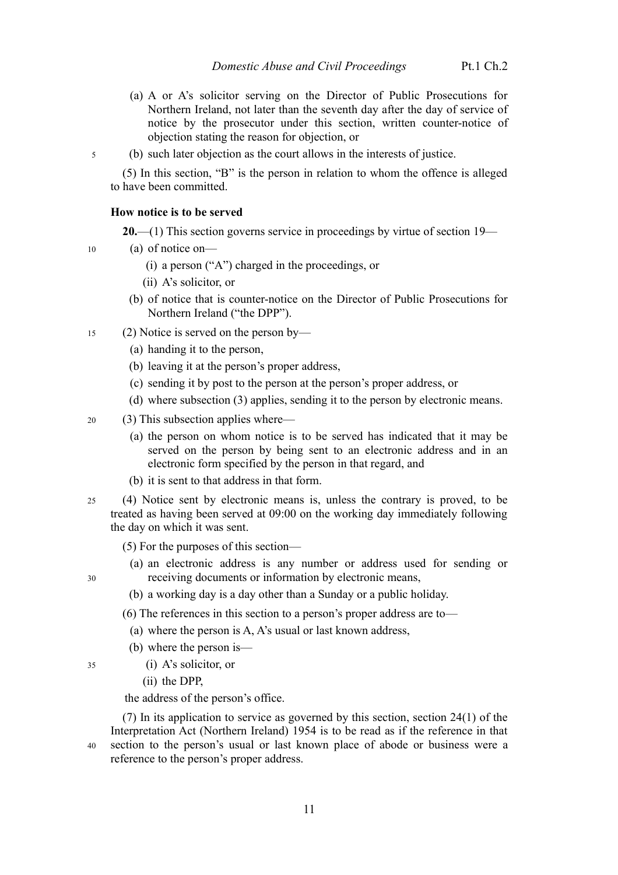- (a) A or A's solicitor serving on the Director of Public Prosecutions for Northern Ireland, not later than the seventh day after the day of service of notice by the prosecutor under this section, written counter-notice of objection stating the reason for objection, or
- (b) such later objection as the court allows in the interests of justice.

(5) In this section, "B" is the person in relation to whom the offence is alleged to have been committed.

#### **How notice is to be served**

**20.**—(1) This section governs service in proceedings by virtue of section [19—](#page-13-0)

(a) of notice on— 10

5

- (i) a person ("A") charged in the proceedings, or
- (ii) A's solicitor, or
- (b) of notice that is counter-notice on the Director of Public Prosecutions for Northern Ireland ("the DPP").
- (2) Notice is served on the person by— 15
	- (a) handing it to the person,
	- (b) leaving it at the person's proper address,
	- (c) sending it by post to the person at the person's proper address, or
	- (d) where subsection [\(3\)](#page-7-0) applies, sending it to the person by electronic means.
- (3) This subsection applies where— 20
	- (a) the person on whom notice is to be served has indicated that it may be served on the person by being sent to an electronic address and in an electronic form specified by the person in that regard, and
	- (b) it is sent to that address in that form.
- (4) Notice sent by electronic means is, unless the contrary is proved, to be treated as having been served at 09:00 on the working day immediately following the day on which it was sent. 25

(5) For the purposes of this section—

- (a) an electronic address is any number or address used for sending or receiving documents or information by electronic means,
- (b) a working day is a day other than a Sunday or a public holiday.
- (6) The references in this section to a person's proper address are to—
	- (a) where the person is A, A's usual or last known address,
	- (b) where the person is—
	- (i) A's solicitor, or
		- (ii) the DPP,

the address of the person's office.

(7) In its application to service as governed by this section, section 24(1) of the Interpretation Act (Northern Ireland) 1954 is to be read as if the reference in that section to the person's usual or last known place of abode or business were a reference to the person's proper address. 40

30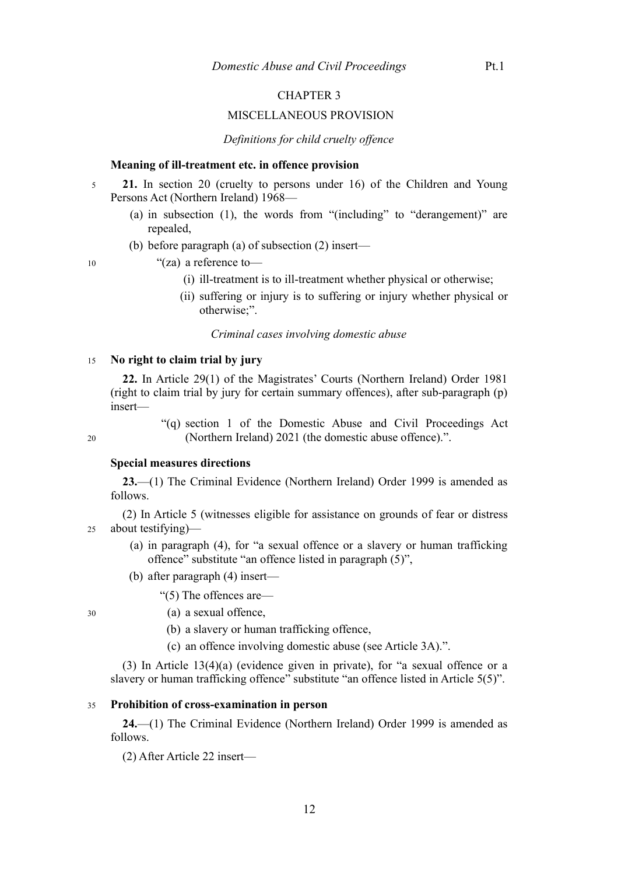# CHAPTER 3

# MISCELLANEOUS PROVISION

#### *Definitions for child cruelty offence*

#### **Meaning of ill-treatment etc. in offence provision**

- **21.** In section 20 (cruelty to persons under 16) of the Children and Young Persons Act (Northern Ireland) 1968— 5
	- (a) in subsection (1), the words from "(including" to "derangement)" are repealed,
	- (b) before paragraph (a) of subsection (2) insert—

"(za) a reference to—

- (i) ill-treatment is to ill-treatment whether physical or otherwise;
- (ii) suffering or injury is to suffering or injury whether physical or otherwise;".

### *Criminal cases involving domestic abuse*

#### **No right to claim trial by jury**  15

**22.** In Article 29(1) of the Magistrates' Courts (Northern Ireland) Order 1981 (right to claim trial by jury for certain summary offences), after sub-paragraph (p) insert—

> "(q) section [1](#page-4-0) of the Domestic Abuse and Civil Proceedings Act (Northern Ireland) 2021 (the domestic abuse offence).".

**Special measures directions** 

<span id="page-15-1"></span>**23.**—(1) The Criminal Evidence (Northern Ireland) Order 1999 is amended as follows.

(2) In Article 5 (witnesses eligible for assistance on grounds of fear or distress about testifying)—  $25$ 

- (a) in paragraph (4), for "a sexual offence or a slavery or human trafficking offence" substitute "an offence listed in paragraph (5)",
- (b) after paragraph (4) insert—

"(5) The offences are— (a) a sexual offence,

30

20

- (b) a slavery or human trafficking offence,
- (c) an offence involving domestic abuse (see Article 3A).".

(3) In Article 13(4)(a) (evidence given in private), for "a sexual offence or a slavery or human trafficking offence" substitute "an offence listed in Article 5(5)".

#### **Prohibition of cross-examination in person**  35

<span id="page-15-0"></span>**24.**—(1) The Criminal Evidence (Northern Ireland) Order 1999 is amended as follows.

(2) After Article 22 insert—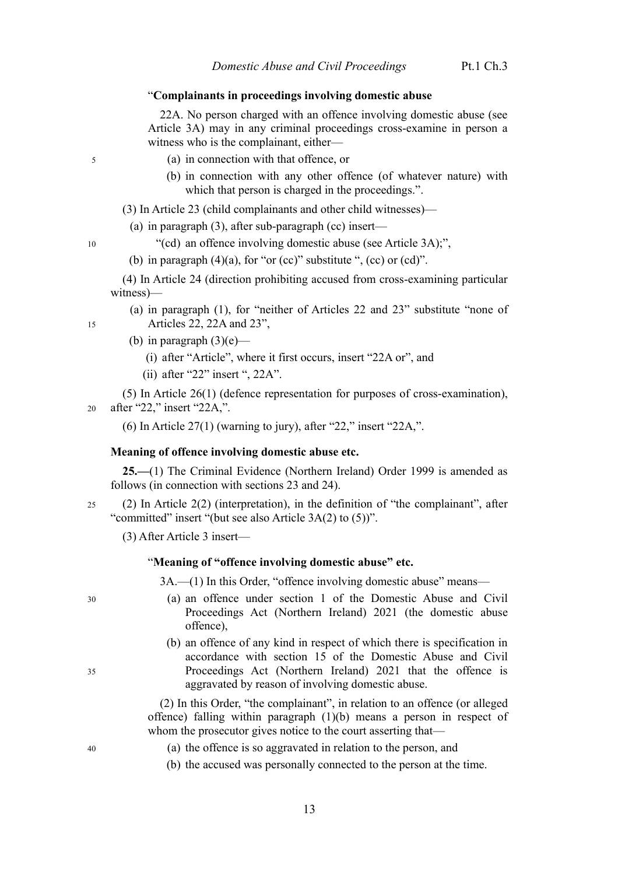# "**Complainants in proceedings involving domestic abuse**

22A. No person charged with an offence involving domestic abuse (see Article 3A) may in any criminal proceedings cross-examine in person a witness who is the complainant, either—

- (a) in connection with that offence, or
- (b) in connection with any other offence (of whatever nature) with which that person is charged in the proceedings.".

(3) In Article 23 (child complainants and other child witnesses)—

- (a) in paragraph (3), after sub-paragraph (cc) insert—
	- "(cd) an offence involving domestic abuse (see Article 3A);",
- (b) in paragraph  $(4)(a)$ , for "or (cc)" substitute ", (cc) or (cd)".

(4) In Article 24 (direction prohibiting accused from cross-examining particular witness)—

- (a) in paragraph (1), for "neither of Articles 22 and 23" substitute "none of Articles 22, 22A and 23",
- (b) in paragraph  $(3)(e)$ 
	- (i) after "Article", where it first occurs, insert "22A or", and
	- (ii) after "22" insert ", 22A".

(5) In Article 26(1) (defence representation for purposes of cross-examination), after "22," insert "22A,". 20

(6) In Article  $27(1)$  (warning to jury), after "22," insert "22A,".

#### **Meaning of offence involving domestic abuse etc.**

**25.—**(1) The Criminal Evidence (Northern Ireland) Order 1999 is amended as follows (in connection with sections [23](#page-15-1) and [24\)](#page-15-0).

(2) In Article 2(2) (interpretation), in the definition of "the complainant", after "committed" insert "(but see also Article 3A(2) to (5))". 25

(3) After Article 3 insert—

#### "**Meaning of "offence involving domestic abuse" etc.**

3A.—(1) In this Order, "offence involving domestic abuse" means—

- (a) an offence under section [1](#page-4-0) of the Domestic Abuse and Civil Proceedings Act (Northern Ireland) 2021 (the domestic abuse offence),
- (b) an offence of any kind in respect of which there is specification in accordance with section [15](#page-11-3) of the Domestic Abuse and Civil Proceedings Act (Northern Ireland) 2021 that the offence is aggravated by reason of involving domestic abuse.

(2) In this Order, "the complainant", in relation to an offence (or alleged offence) falling within paragraph (1)(b) means a person in respect of whom the prosecutor gives notice to the court asserting that—

(a) the offence is so aggravated in relation to the person, and

13

(b) the accused was personally connected to the person at the time.

40

30

10

15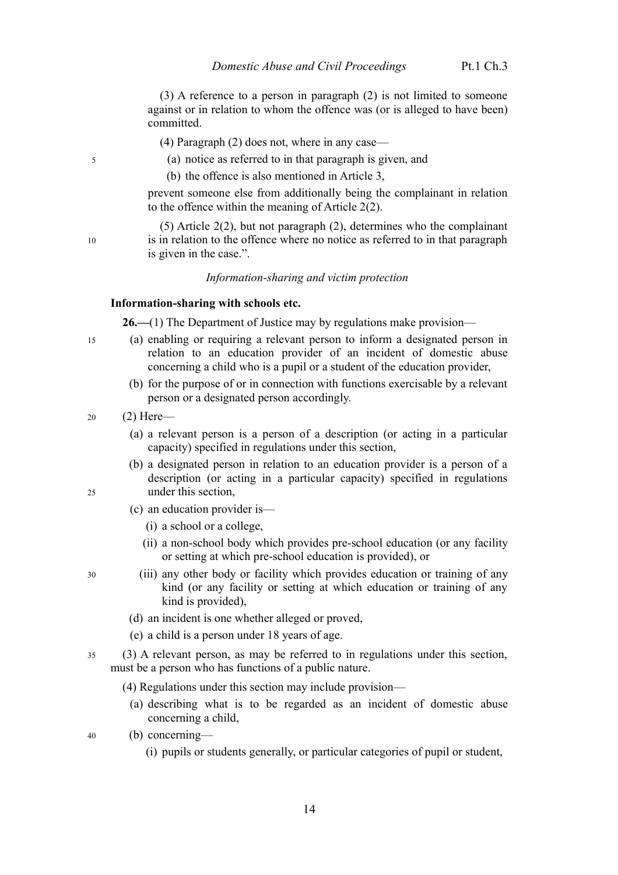(3) A reference to a person in paragraph (2) is not limited to someone against or in relation to whom the offence was (or is alleged to have been) committed.

- (4) Paragraph (2) does not, where in any case—
	- (a) notice as referred to in that paragraph is given, and
	- (b) the offence is also mentioned in Article 3,

prevent someone else from additionally being the complainant in relation to the offence within the meaning of Article 2(2).

10

15

5

(5) Article 2(2), but not paragraph (2), determines who the complainant is in relation to the offence where no notice as referred to in that paragraph is given in the case.".

#### *Information-sharing and victim protection*

#### **Information-sharing with schools etc.**

**26.—(1)** The Department of Justice may by regulations make provision—

- (a) enabling or requiring a relevant person to inform a designated person in relation to an education provider of an incident of domestic abuse concerning a child who is a pupil or a student of the education provider,
	- (b) for the purpose of or in connection with functions exercisable by a relevant person or a designated person accordingly.
- (2) Here— 20
	- (a) a relevant person is a person of a description (or acting in a particular capacity) specified in regulations under this section,
	- (b) a designated person in relation to an education provider is a person of a description (or acting in a particular capacity) specified in regulations under this section,
	- (c) an education provider is—
		- (i) a school or a college,
		- (ii) a non-school body which provides pre-school education (or any facility or setting at which pre-school education is provided), or
	- (iii) any other body or facility which provides education or training of any kind (or any facility or setting at which education or training of any kind is provided),
		- (d) an incident is one whether alleged or proved,
		- (e) a child is a person under 18 years of age.
- (3) A relevant person, as may be referred to in regulations under this section, must be a person who has functions of a public nature. 35
	- (4) Regulations under this section may include provision—
		- (a) describing what is to be regarded as an incident of domestic abuse concerning a child,
- (b) concerning— 40
	- (i) pupils or students generally, or particular categories of pupil or student,

25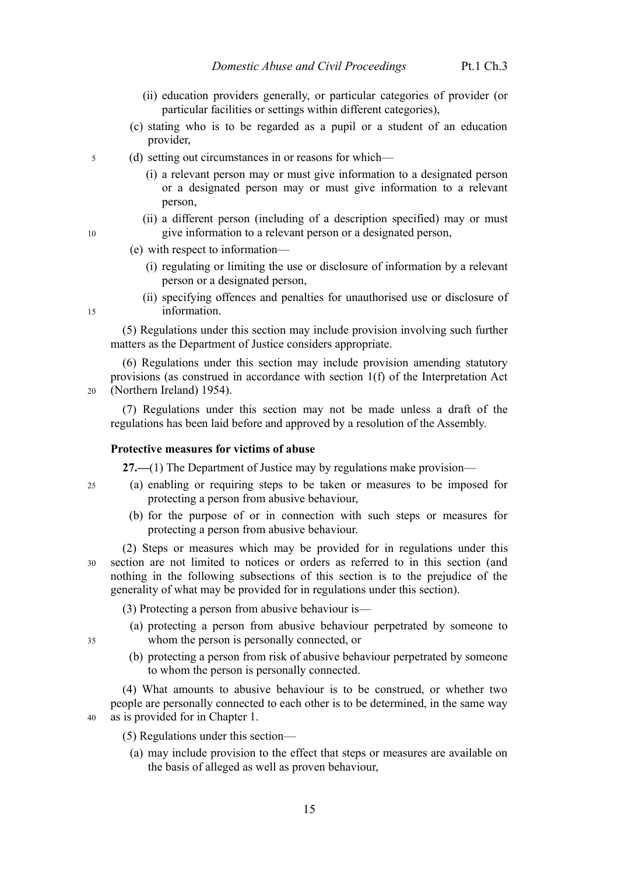- (ii) education providers generally, or particular categories of provider (or particular facilities or settings within different categories),
- (c) stating who is to be regarded as a pupil or a student of an education provider,
- (d) setting out circumstances in or reasons for which— 5
	- (i) a relevant person may or must give information to a designated person or a designated person may or must give information to a relevant person,
	- (ii) a different person (including of a description specified) may or must give information to a relevant person or a designated person,
	- (e) with respect to information—
		- (i) regulating or limiting the use or disclosure of information by a relevant person or a designated person,
		- (ii) specifying offences and penalties for unauthorised use or disclosure of information.

(5) Regulations under this section may include provision involving such further matters as the Department of Justice considers appropriate.

(6) Regulations under this section may include provision amending statutory provisions (as construed in accordance with section  $1(f)$  of the Interpretation Act (Northern Ireland) 1954).

(7) Regulations under this section may not be made unless a draft of the regulations has been laid before and approved by a resolution of the Assembly.

#### **Protective measures for victims of abuse**

**27.—**(1) The Department of Justice may by regulations make provision—

- (a) enabling or requiring steps to be taken or measures to be imposed for protecting a person from abusive behaviour,
	- (b) for the purpose of or in connection with such steps or measures for protecting a person from abusive behaviour.

(2) Steps or measures which may be provided for in regulations under this section are not limited to notices or orders as referred to in this section (and nothing in the following subsections of this section is to the prejudice of the generality of what may be provided for in regulations under this section).

(3) Protecting a person from abusive behaviour is—

- (a) protecting a person from abusive behaviour perpetrated by someone to whom the person is personally connected, or
- (b) protecting a person from risk of abusive behaviour perpetrated by someone to whom the person is personally connected.

(4) What amounts to abusive behaviour is to be construed, or whether two people are personally connected to each other is to be determined, in the same way as is provided for in Chapter 1. 40

(5) Regulations under this section—

(a) may include provision to the effect that steps or measures are available on the basis of alleged as well as proven behaviour,

10

15

20

30

 $25$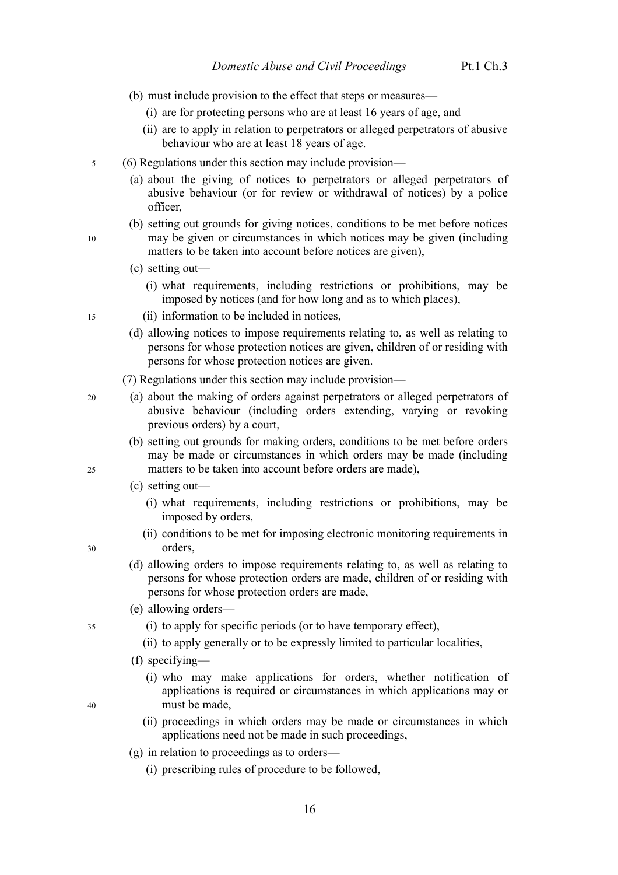- (b) must include provision to the effect that steps or measures—
	- (i) are for protecting persons who are at least 16 years of age, and
	- (ii) are to apply in relation to perpetrators or alleged perpetrators of abusive behaviour who are at least 18 years of age.
- (6) Regulations under this section may include provision— 5
	- (a) about the giving of notices to perpetrators or alleged perpetrators of abusive behaviour (or for review or withdrawal of notices) by a police officer,
	- (b) setting out grounds for giving notices, conditions to be met before notices may be given or circumstances in which notices may be given (including matters to be taken into account before notices are given),
	- (c) setting out—
		- (i) what requirements, including restrictions or prohibitions, may be imposed by notices (and for how long and as to which places),
	- (ii) information to be included in notices,
		- (d) allowing notices to impose requirements relating to, as well as relating to persons for whose protection notices are given, children of or residing with persons for whose protection notices are given.
		- (7) Regulations under this section may include provision—
	- (a) about the making of orders against perpetrators or alleged perpetrators of abusive behaviour (including orders extending, varying or revoking previous orders) by a court,
		- (b) setting out grounds for making orders, conditions to be met before orders may be made or circumstances in which orders may be made (including matters to be taken into account before orders are made),
		- (c) setting out—
			- (i) what requirements, including restrictions or prohibitions, may be imposed by orders,
			- (ii) conditions to be met for imposing electronic monitoring requirements in orders,
- 30

35

40

10

15

20

- (d) allowing orders to impose requirements relating to, as well as relating to persons for whose protection orders are made, children of or residing with persons for whose protection orders are made,
- (e) allowing orders—
	- (i) to apply for specific periods (or to have temporary effect),
	- (ii) to apply generally or to be expressly limited to particular localities,
- (f) specifying—
	- (i) who may make applications for orders, whether notification of applications is required or circumstances in which applications may or must be made,
	- (ii) proceedings in which orders may be made or circumstances in which applications need not be made in such proceedings,
- (g) in relation to proceedings as to orders—
	- (i) prescribing rules of procedure to be followed,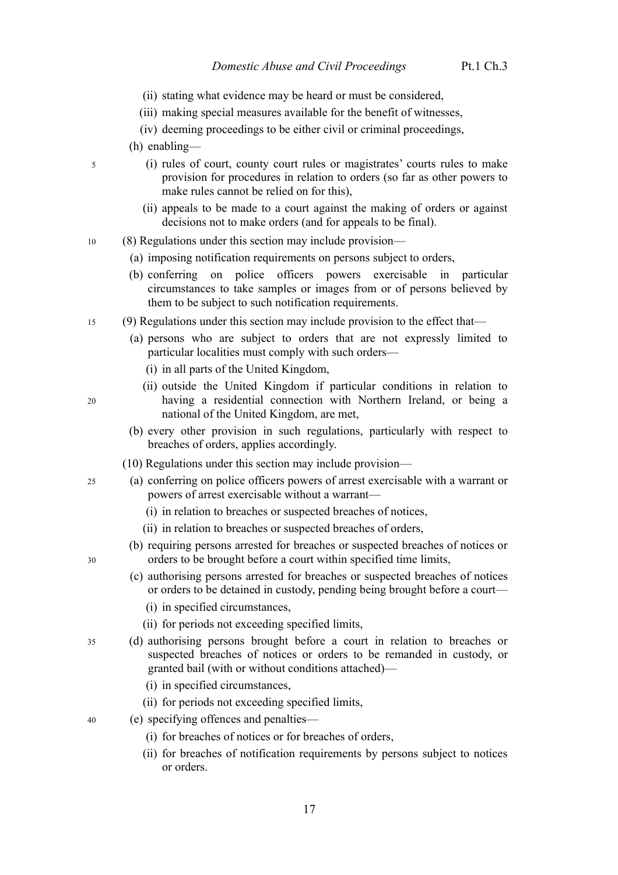- (ii) stating what evidence may be heard or must be considered,
- (iii) making special measures available for the benefit of witnesses,
- (iv) deeming proceedings to be either civil or criminal proceedings,
- (h) enabling—
	- (i) rules of court, county court rules or magistrates' courts rules to make provision for procedures in relation to orders (so far as other powers to make rules cannot be relied on for this),
	- (ii) appeals to be made to a court against the making of orders or against decisions not to make orders (and for appeals to be final).
- (8) Regulations under this section may include provision— 10
	- (a) imposing notification requirements on persons subject to orders,
	- (b) conferring on police officers powers exercisable in particular circumstances to take samples or images from or of persons believed by them to be subject to such notification requirements.
- (9) Regulations under this section may include provision to the effect that— 15
	- (a) persons who are subject to orders that are not expressly limited to particular localities must comply with such orders—
		- (i) in all parts of the United Kingdom,
		- (ii) outside the United Kingdom if particular conditions in relation to having a residential connection with Northern Ireland, or being a national of the United Kingdom, are met,
	- (b) every other provision in such regulations, particularly with respect to breaches of orders, applies accordingly.
	- (10) Regulations under this section may include provision—
- (a) conferring on police officers powers of arrest exercisable with a warrant or powers of arrest exercisable without a warrant— 25
	- (i) in relation to breaches or suspected breaches of notices,
	- (ii) in relation to breaches or suspected breaches of orders,
	- (b) requiring persons arrested for breaches or suspected breaches of notices or orders to be brought before a court within specified time limits,
		- (c) authorising persons arrested for breaches or suspected breaches of notices or orders to be detained in custody, pending being brought before a court—
			- (i) in specified circumstances,
			- (ii) for periods not exceeding specified limits,
- (d) authorising persons brought before a court in relation to breaches or suspected breaches of notices or orders to be remanded in custody, or granted bail (with or without conditions attached)— 35
	- (i) in specified circumstances,
	- (ii) for periods not exceeding specified limits,
	- (e) specifying offences and penalties—
		- (i) for breaches of notices or for breaches of orders,
		- (ii) for breaches of notification requirements by persons subject to notices or orders.

 $20$ 

30

40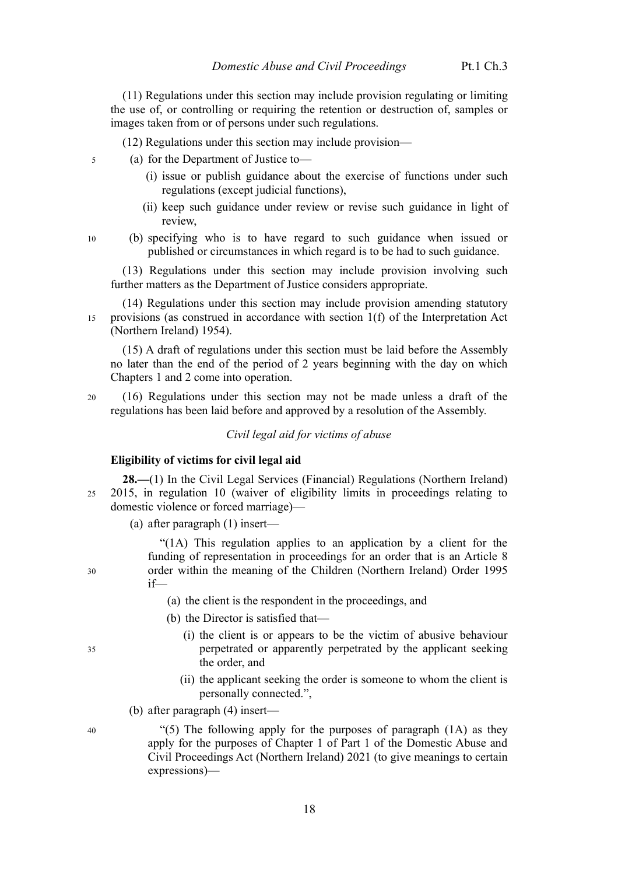(11) Regulations under this section may include provision regulating or limiting the use of, or controlling or requiring the retention or destruction of, samples or images taken from or of persons under such regulations.

(12) Regulations under this section may include provision—

- (a) for the Department of Justice to— 5
	- (i) issue or publish guidance about the exercise of functions under such regulations (except judicial functions),
	- (ii) keep such guidance under review or revise such guidance in light of review,
	- (b) specifying who is to have regard to such guidance when issued or published or circumstances in which regard is to be had to such guidance.

(13) Regulations under this section may include provision involving such further matters as the Department of Justice considers appropriate.

(14) Regulations under this section may include provision amending statutory provisions (as construed in accordance with section 1(f) of the Interpretation Act (Northern Ireland) 1954). 15

(15) A draft of regulations under this section must be laid before the Assembly no later than the end of the period of 2 years beginning with the day on which Chapters 1 and 2 come into operation.

(16) Regulations under this section may not be made unless a draft of the regulations has been laid before and approved by a resolution of the Assembly. 20

*Civil legal aid for victims of abuse*

## **Eligibility of victims for civil legal aid**

**28.—**(1) In the Civil Legal Services (Financial) Regulations (Northern Ireland) 2015, in regulation 10 (waiver of eligibility limits in proceedings relating to domestic violence or forced marriage)— 25

(a) after paragraph (1) insert—

"(1A) This regulation applies to an application by a client for the funding of representation in proceedings for an order that is an Article 8 order within the meaning of the Children (Northern Ireland) Order 1995 if—

- (a) the client is the respondent in the proceedings, and
- (b) the Director is satisfied that—
	- (i) the client is or appears to be the victim of abusive behaviour perpetrated or apparently perpetrated by the applicant seeking the order, and
	- (ii) the applicant seeking the order is someone to whom the client is personally connected.",
- (b) after paragraph (4) insert—

"(5) The following apply for the purposes of paragraph (1A) as they apply for the purposes of Chapter 1 of Part 1 of the Domestic Abuse and Civil Proceedings Act (Northern Ireland) 2021 (to give meanings to certain expressions)—

35

30

10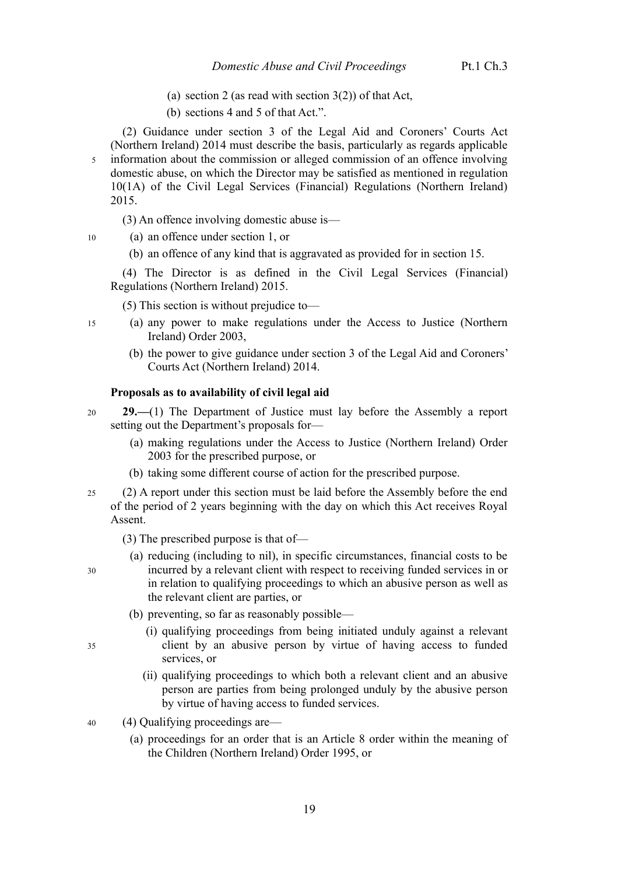- (a) section 2 (as read with section  $3(2)$ ) of that Act,
- (b) sections 4 and 5 of that Act.".

(2) Guidance under section 3 of the Legal Aid and Coroners' Courts Act (Northern Ireland) 2014 must describe the basis, particularly as regards applicable information about the commission or alleged commission of an offence involving 5 domestic abuse, on which the Director may be satisfied as mentioned in regulation 10(1A) of the Civil Legal Services (Financial) Regulations (Northern Ireland) 2015.

(3) An offence involving domestic abuse is—

- (a) an offence under section 1, or
	- (b) an offence of any kind that is aggravated as provided for in section 15.

(4) The Director is as defined in the Civil Legal Services (Financial) Regulations (Northern Ireland) 2015.

(5) This section is without prejudice to—

- (a) any power to make regulations under the Access to Justice (Northern Ireland) Order 2003,
	- (b) the power to give guidance under section 3 of the Legal Aid and Coroners' Courts Act (Northern Ireland) 2014.

### **Proposals as to availability of civil legal aid**

- **29.—**(1) The Department of Justice must lay before the Assembly a report setting out the Department's proposals for— 20
	- (a) making regulations under the Access to Justice (Northern Ireland) Order 2003 for the prescribed purpose, or
	- (b) taking some different course of action for the prescribed purpose.
- (2) A report under this section must be laid before the Assembly before the end of the period of 2 years beginning with the day on which this Act receives Royal Assent. 25
	- (3) The prescribed purpose is that of—
	- (a) reducing (including to nil), in specific circumstances, financial costs to be incurred by a relevant client with respect to receiving funded services in or in relation to qualifying proceedings to which an abusive person as well as the relevant client are parties, or
	- (b) preventing, so far as reasonably possible—
		- (i) qualifying proceedings from being initiated unduly against a relevant client by an abusive person by virtue of having access to funded services, or
		- (ii) qualifying proceedings to which both a relevant client and an abusive person are parties from being prolonged unduly by the abusive person by virtue of having access to funded services.
- (4) Qualifying proceedings are— 40
	- (a) proceedings for an order that is an Article 8 order within the meaning of the Children (Northern Ireland) Order 1995, or

30

35

10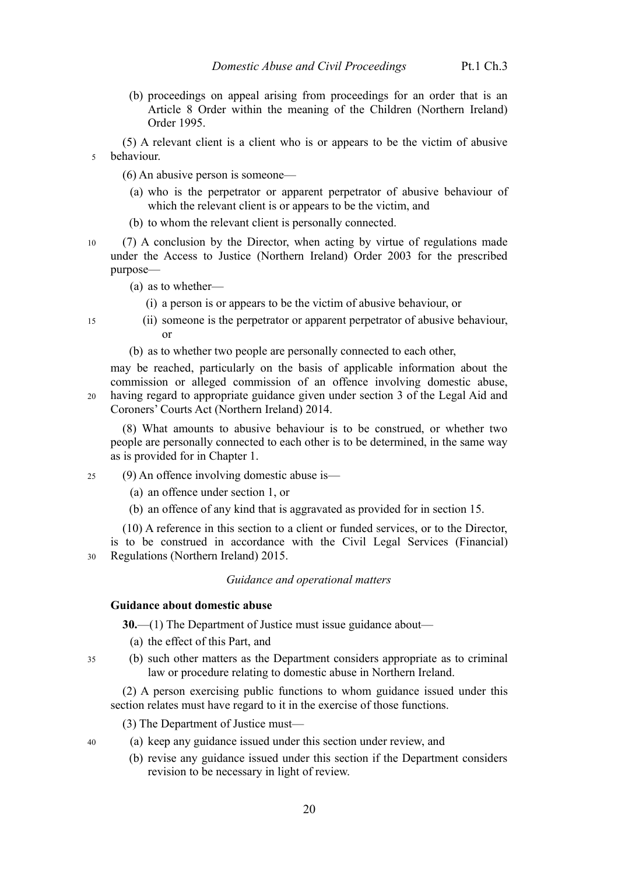- (b) proceedings on appeal arising from proceedings for an order that is an Article 8 Order within the meaning of the Children (Northern Ireland) Order 1995.
- (5) A relevant client is a client who is or appears to be the victim of abusive behaviour. 5
	- (6) An abusive person is someone—
		- (a) who is the perpetrator or apparent perpetrator of abusive behaviour of which the relevant client is or appears to be the victim, and
		- (b) to whom the relevant client is personally connected.
- (7) A conclusion by the Director, when acting by virtue of regulations made under the Access to Justice (Northern Ireland) Order 2003 for the prescribed purpose— 10
	- (a) as to whether—
		- (i) a person is or appears to be the victim of abusive behaviour, or

15

20

35

40

- (ii) someone is the perpetrator or apparent perpetrator of abusive behaviour, or
- (b) as to whether two people are personally connected to each other,

may be reached, particularly on the basis of applicable information about the commission or alleged commission of an offence involving domestic abuse, having regard to appropriate guidance given under section 3 of the Legal Aid and Coroners' Courts Act (Northern Ireland) 2014.

(8) What amounts to abusive behaviour is to be construed, or whether two people are personally connected to each other is to be determined, in the same way as is provided for in Chapter 1.

(9) An offence involving domestic abuse is— 25

- (a) an offence under section 1, or
- (b) an offence of any kind that is aggravated as provided for in section 15.

(10) A reference in this section to a client or funded services, or to the Director, is to be construed in accordance with the Civil Legal Services (Financial) Regulations (Northern Ireland) 2015. 30

#### *Guidance and operational matters*

#### **Guidance about domestic abuse**

<span id="page-23-0"></span>**30.**—(1) The Department of Justice must issue guidance about—

- (a) the effect of this Part, and
- (b) such other matters as the Department considers appropriate as to criminal law or procedure relating to domestic abuse in Northern Ireland.

(2) A person exercising public functions to whom guidance issued under this section relates must have regard to it in the exercise of those functions.

(3) The Department of Justice must—

- (a) keep any guidance issued under this section under review, and
	- (b) revise any guidance issued under this section if the Department considers revision to be necessary in light of review.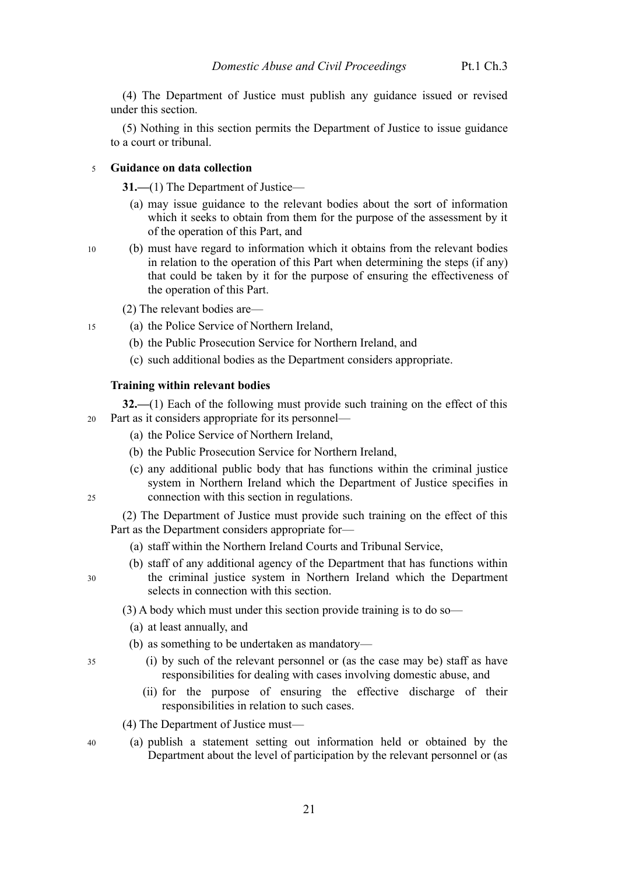(4) The Department of Justice must publish any guidance issued or revised under this section.

(5) Nothing in this section permits the Department of Justice to issue guidance to a court or tribunal.

#### **Guidance on data collection** 5

**31.—**(1) The Department of Justice—

- (a) may issue guidance to the relevant bodies about the sort of information which it seeks to obtain from them for the purpose of the assessment by it of the operation of this Part, and
- (b) must have regard to information which it obtains from the relevant bodies in relation to the operation of this Part when determining the steps (if any) that could be taken by it for the purpose of ensuring the effectiveness of the operation of this Part. 10

(2) The relevant bodies are—

- (a) the Police Service of Northern Ireland, 15
	- (b) the Public Prosecution Service for Northern Ireland, and
	- (c) such additional bodies as the Department considers appropriate.

#### <span id="page-24-0"></span>**Training within relevant bodies**

**32.—**(1) Each of the following must provide such training on the effect of this Part as it considers appropriate for its personnel— 20

- (a) the Police Service of Northern Ireland,
- (b) the Public Prosecution Service for Northern Ireland,
- (c) any additional public body that has functions within the criminal justice system in Northern Ireland which the Department of Justice specifies in connection with this section in regulations.

(2) The Department of Justice must provide such training on the effect of this Part as the Department considers appropriate for—

- (a) staff within the Northern Ireland Courts and Tribunal Service,
- (b) staff of any additional agency of the Department that has functions within the criminal justice system in Northern Ireland which the Department selects in connection with this section.

(3) A body which must under this section provide training is to do so—

- (a) at least annually, and
- (b) as something to be undertaken as mandatory—
	- (i) by such of the relevant personnel or (as the case may be) staff as have responsibilities for dealing with cases involving domestic abuse, and
	- (ii) for the purpose of ensuring the effective discharge of their responsibilities in relation to such cases.
- (4) The Department of Justice must—
- (a) publish a statement setting out information held or obtained by the Department about the level of participation by the relevant personnel or (as 40

30

 $25$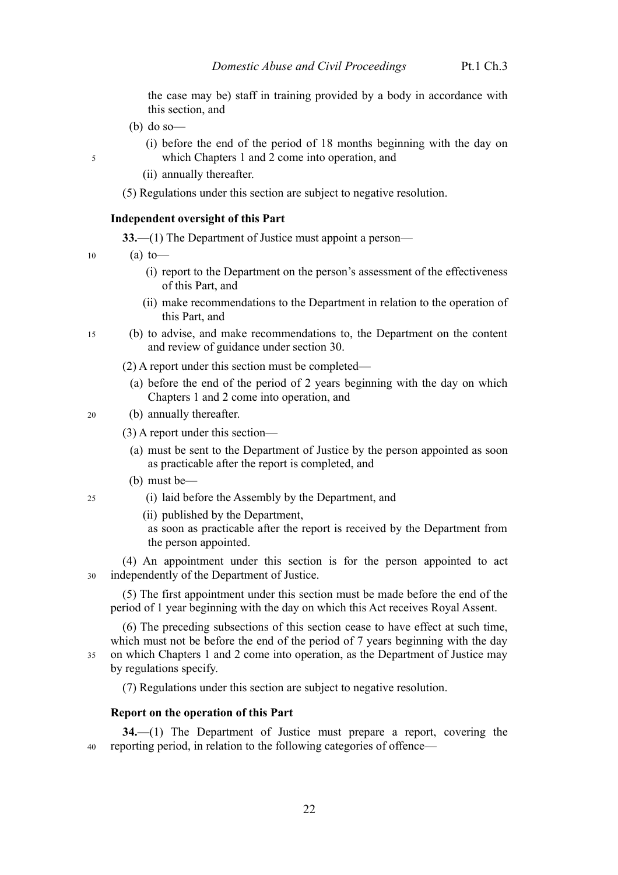the case may be) staff in training provided by a body in accordance with this section, and

- (b) do so—
	- (i) before the end of the period of 18 months beginning with the day on which Chapters 1 and 2 come into operation, and
	- (ii) annually thereafter.
- (5) Regulations under this section are subject to negative resolution.

#### **Independent oversight of this Part**

**33.**—(1) The Department of Justice must appoint a person—

 $(a)$  to — 10

5

25

- (i) report to the Department on the person's assessment of the effectiveness of this Part, and
- (ii) make recommendations to the Department in relation to the operation of this Part, and
- (b) to advise, and make recommendations to, the Department on the content and review of guidance under section [30.](#page-23-0) 15
	- (2) A report under this section must be completed—
		- (a) before the end of the period of 2 years beginning with the day on which Chapters 1 and 2 come into operation, and
- (b) annually thereafter.  $20$ 
	- (3) A report under this section—
		- (a) must be sent to the Department of Justice by the person appointed as soon as practicable after the report is completed, and
		- (b) must be—
		- (i) laid before the Assembly by the Department, and
			- (ii) published by the Department,
				- as soon as practicable after the report is received by the Department from the person appointed.

(4) An appointment under this section is for the person appointed to act independently of the Department of Justice. 30

(5) The first appointment under this section must be made before the end of the period of 1 year beginning with the day on which this Act receives Royal Assent.

(6) The preceding subsections of this section cease to have effect at such time, which must not be before the end of the period of 7 years beginning with the day on which Chapters 1 and 2 come into operation, as the Department of Justice may by regulations specify. 35

(7) Regulations under this section are subject to negative resolution.

# **Report on the operation of this Part**

**34.—**(1) The Department of Justice must prepare a report, covering the reporting period, in relation to the following categories of offence— 40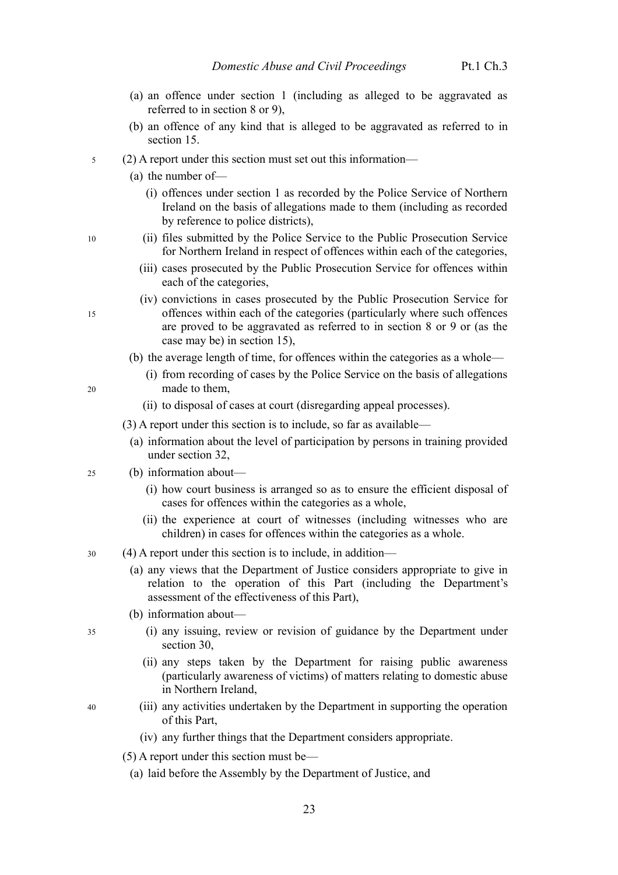- (a) an offence under section 1 (including as alleged to be aggravated as referred to in section 8 or 9),
- (b) an offence of any kind that is alleged to be aggravated as referred to in section 15.
- (2) A report under this section must set out this information— 5
	- (a) the number of—
		- (i) offences under section 1 as recorded by the Police Service of Northern Ireland on the basis of allegations made to them (including as recorded by reference to police districts),
	- (ii) files submitted by the Police Service to the Public Prosecution Service for Northern Ireland in respect of offences within each of the categories,
		- (iii) cases prosecuted by the Public Prosecution Service for offences within each of the categories,
		- (iv) convictions in cases prosecuted by the Public Prosecution Service for offences within each of the categories (particularly where such offences are proved to be aggravated as referred to in section 8 or 9 or (as the case may be) in section 15),
		- (b) the average length of time, for offences within the categories as a whole—
			- (i) from recording of cases by the Police Service on the basis of allegations made to them,
			- (ii) to disposal of cases at court (disregarding appeal processes).
	- (3) A report under this section is to include, so far as available—
		- (a) information about the level of participation by persons in training provided under section [32,](#page-24-0)
- (b) information about— 25
	- (i) how court business is arranged so as to ensure the efficient disposal of cases for offences within the categories as a whole,
	- (ii) the experience at court of witnesses (including witnesses who are children) in cases for offences within the categories as a whole.
- (4) A report under this section is to include, in addition— 30
	- (a) any views that the Department of Justice considers appropriate to give in relation to the operation of this Part (including the Department's assessment of the effectiveness of this Part),
	- (b) information about—
		- (i) any issuing, review or revision of guidance by the Department under section [30,](#page-23-0)
		- (ii) any steps taken by the Department for raising public awareness (particularly awareness of victims) of matters relating to domestic abuse in Northern Ireland,
	- (iii) any activities undertaken by the Department in supporting the operation of this Part,
		- (iv) any further things that the Department considers appropriate.
		- (5) A report under this section must be—
		- (a) laid before the Assembly by the Department of Justice, and

15

10

20

35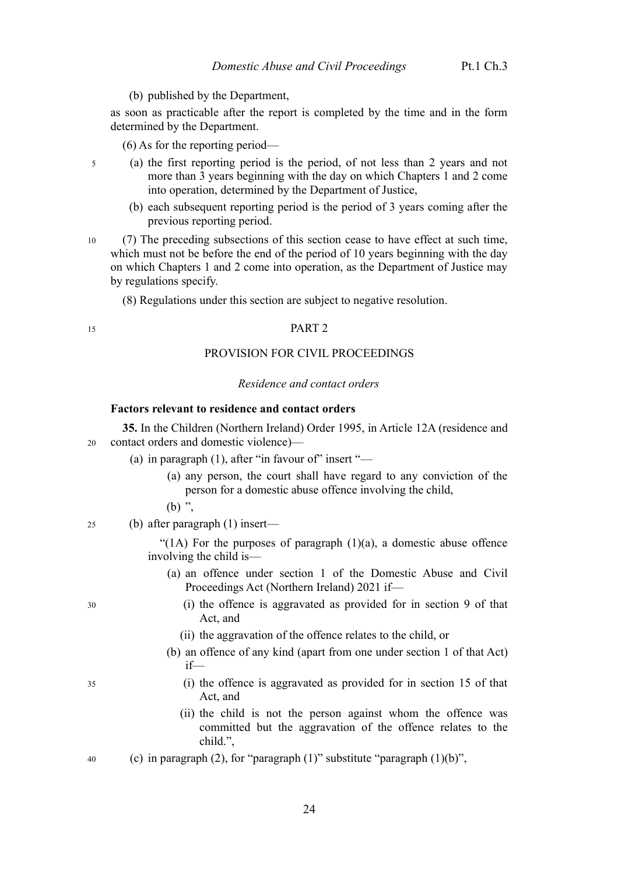(b) published by the Department,

as soon as practicable after the report is completed by the time and in the form determined by the Department.

(6) As for the reporting period—

- (a) the first reporting period is the period, of not less than 2 years and not more than 3 years beginning with the day on which Chapters 1 and 2 come into operation, determined by the Department of Justice,
	- (b) each subsequent reporting period is the period of 3 years coming after the previous reporting period.
- (7) The preceding subsections of this section cease to have effect at such time, which must not be before the end of the period of 10 years beginning with the day on which Chapters 1 and 2 come into operation, as the Department of Justice may by regulations specify. 10
	- (8) Regulations under this section are subject to negative resolution.

#### PART 2

#### PROVISION FOR CIVIL PROCEEDINGS

#### *Residence and contact orders*

## **Factors relevant to residence and contact orders**

**35.** In the Children (Northern Ireland) Order 1995, in Article 12A (residence and contact orders and domestic violence)— 20

- (a) in paragraph  $(1)$ , after "in favour of" insert "—
	- (a) any person, the court shall have regard to any conviction of the person for a domestic abuse offence involving the child,
	- $(b)$  ".
- (b) after paragraph (1) insert— 25

"( $1A$ ) For the purposes of paragraph  $(1)(a)$ , a domestic abuse offence involving the child is—

- (a) an offence under section 1 of the Domestic Abuse and Civil Proceedings Act (Northern Ireland) 2021 if—
	- (i) the offence is aggravated as provided for in section 9 of that Act, and
	- (ii) the aggravation of the offence relates to the child, or
- (b) an offence of any kind (apart from one under section 1 of that Act) if—
	- (i) the offence is aggravated as provided for in section 15 of that Act, and
	- (ii) the child is not the person against whom the offence was committed but the aggravation of the offence relates to the child.",
- (c) in paragraph (2), for "paragraph  $(1)$ " substitute "paragraph  $(1)(b)$ ", 40

35

30

5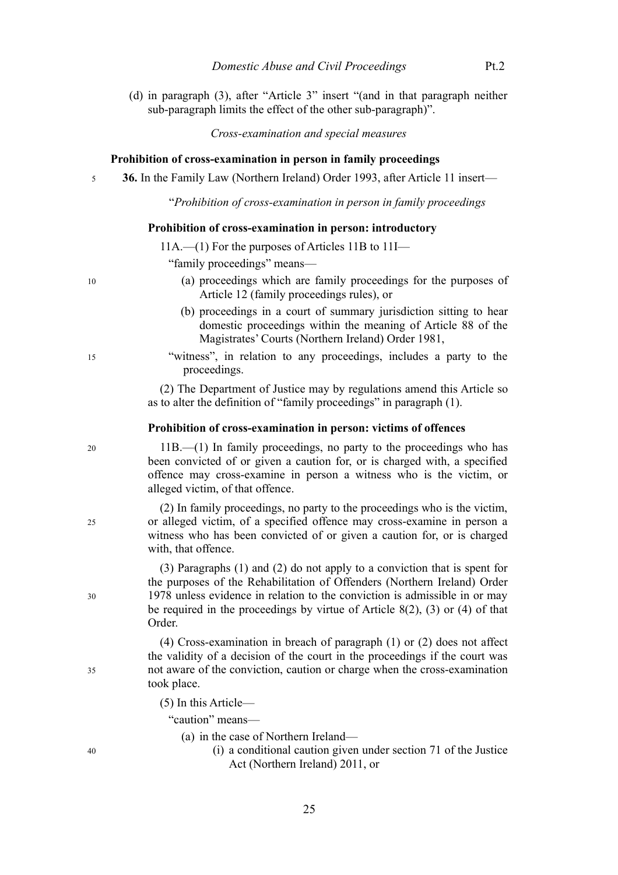- 
- (d) in paragraph (3), after "Article 3" insert "(and in that paragraph neither sub-paragraph limits the effect of the other sub-paragraph)".

*Cross-examination and special measures*

#### **Prohibition of cross-examination in person in family proceedings**

**36.** In the Family Law (Northern Ireland) Order 1993, after Article 11 insert— 5

"*Prohibition of cross-examination in person in family proceedings*

## **Prohibition of cross-examination in person: introductory**

11A.—(1) For the purposes of Articles 11B to 11I—

"family proceedings" means—

- (a) proceedings which are family proceedings for the purposes of Article 12 (family proceedings rules), or
- (b) proceedings in a court of summary jurisdiction sitting to hear domestic proceedings within the meaning of Article 88 of the Magistrates' Courts (Northern Ireland) Order 1981,
- "witness", in relation to any proceedings, includes a party to the proceedings.

(2) The Department of Justice may by regulations amend this Article so as to alter the definition of "family proceedings" in paragraph (1).

#### **Prohibition of cross-examination in person: victims of offences**

11B.—(1) In family proceedings, no party to the proceedings who has been convicted of or given a caution for, or is charged with, a specified offence may cross-examine in person a witness who is the victim, or alleged victim, of that offence.

(2) In family proceedings, no party to the proceedings who is the victim, or alleged victim, of a specified offence may cross-examine in person a witness who has been convicted of or given a caution for, or is charged with, that offence.

(3) Paragraphs (1) and (2) do not apply to a conviction that is spent for the purposes of the Rehabilitation of Offenders (Northern Ireland) Order 1978 unless evidence in relation to the conviction is admissible in or may be required in the proceedings by virtue of Article 8(2), (3) or (4) of that Order.

(4) Cross-examination in breach of paragraph (1) or (2) does not affect the validity of a decision of the court in the proceedings if the court was not aware of the conviction, caution or charge when the cross-examination took place.

(5) In this Article—

"caution" means—

- (a) in the case of Northern Ireland—
	- (i) a conditional caution given under section 71 of the Justice Act (Northern Ireland) 2011, or

40

10

15

20

 $25$ 

30

35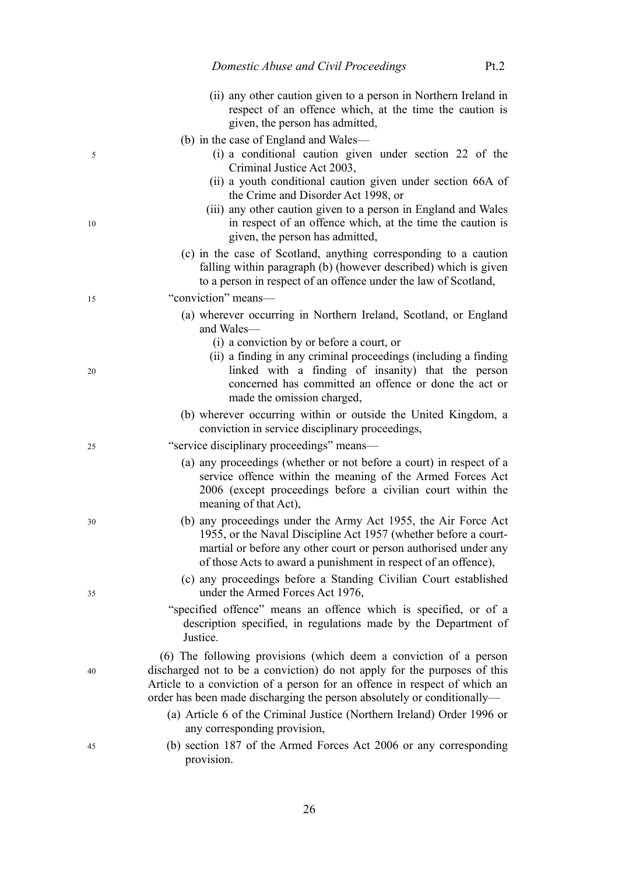|    | (ii) any other caution given to a person in Northern Ireland in<br>respect of an offence which, at the time the caution is<br>given, the person has admitted,                                                                                                                                         |
|----|-------------------------------------------------------------------------------------------------------------------------------------------------------------------------------------------------------------------------------------------------------------------------------------------------------|
|    | (b) in the case of England and Wales—                                                                                                                                                                                                                                                                 |
| 5  | (i) a conditional caution given under section 22 of the<br>Criminal Justice Act 2003,                                                                                                                                                                                                                 |
|    | (ii) a youth conditional caution given under section 66A of<br>the Crime and Disorder Act 1998, or                                                                                                                                                                                                    |
| 10 | (iii) any other caution given to a person in England and Wales<br>in respect of an offence which, at the time the caution is<br>given, the person has admitted,                                                                                                                                       |
|    | (c) in the case of Scotland, anything corresponding to a caution<br>falling within paragraph (b) (however described) which is given<br>to a person in respect of an offence under the law of Scotland,                                                                                                |
| 15 | "conviction" means-                                                                                                                                                                                                                                                                                   |
|    | (a) wherever occurring in Northern Ireland, Scotland, or England<br>and Wales-                                                                                                                                                                                                                        |
| 20 | (i) a conviction by or before a court, or<br>(ii) a finding in any criminal proceedings (including a finding<br>linked with a finding of insanity) that the person<br>concerned has committed an offence or done the act or<br>made the omission charged,                                             |
|    | (b) wherever occurring within or outside the United Kingdom, a<br>conviction in service disciplinary proceedings,                                                                                                                                                                                     |
| 25 | "service disciplinary proceedings" means—                                                                                                                                                                                                                                                             |
|    | (a) any proceedings (whether or not before a court) in respect of a<br>service offence within the meaning of the Armed Forces Act<br>2006 (except proceedings before a civilian court within the<br>meaning of that Act),                                                                             |
| 30 | (b) any proceedings under the Army Act 1955, the Air Force Act<br>1955, or the Naval Discipline Act 1957 (whether before a court-<br>martial or before any other court or person authorised under any<br>of those Acts to award a punishment in respect of an offence),                               |
| 35 | (c) any proceedings before a Standing Civilian Court established<br>under the Armed Forces Act 1976,                                                                                                                                                                                                  |
|    | "specified offence" means an offence which is specified, or of a<br>description specified, in regulations made by the Department of<br>Justice.                                                                                                                                                       |
| 40 | (6) The following provisions (which deem a conviction of a person<br>discharged not to be a conviction) do not apply for the purposes of this<br>Article to a conviction of a person for an offence in respect of which an<br>order has been made discharging the person absolutely or conditionally— |
|    | (a) Article 6 of the Criminal Justice (Northern Ireland) Order 1996 or<br>any corresponding provision,                                                                                                                                                                                                |
| 45 | (b) section 187 of the Armed Forces Act 2006 or any corresponding<br>provision.                                                                                                                                                                                                                       |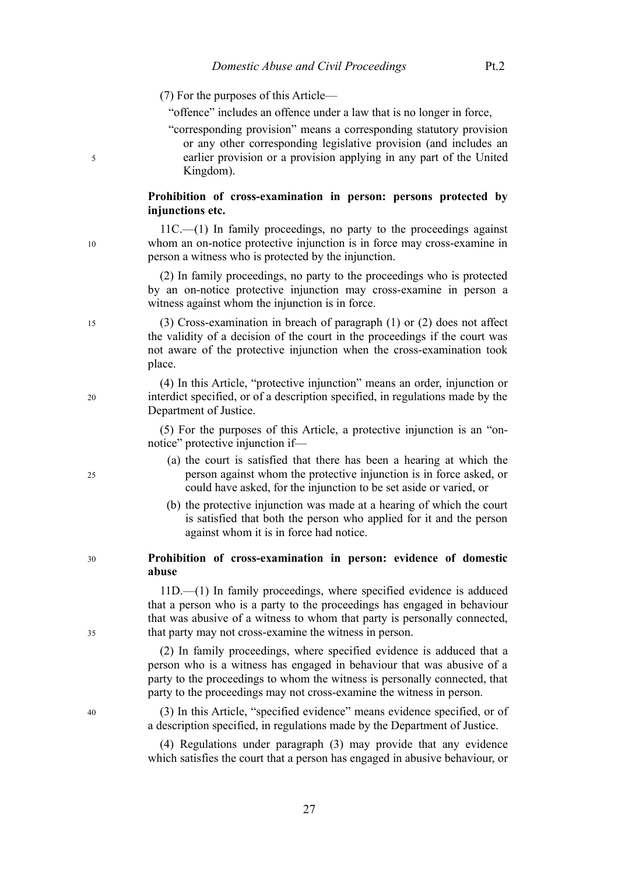- (7) For the purposes of this Article—
	- "offence" includes an offence under a law that is no longer in force,

"corresponding provision" means a corresponding statutory provision or any other corresponding legislative provision (and includes an earlier provision or a provision applying in any part of the United Kingdom).

# **Prohibition of cross-examination in person: persons protected by injunctions etc.**

 $11C$ —(1) In family proceedings, no party to the proceedings against whom an on-notice protective injunction is in force may cross-examine in person a witness who is protected by the injunction.

(2) In family proceedings, no party to the proceedings who is protected by an on-notice protective injunction may cross-examine in person a witness against whom the injunction is in force.

(3) Cross-examination in breach of paragraph (1) or (2) does not affect the validity of a decision of the court in the proceedings if the court was not aware of the protective injunction when the cross-examination took place.

(4) In this Article, "protective injunction" means an order, injunction or interdict specified, or of a description specified, in regulations made by the Department of Justice.

(5) For the purposes of this Article, a protective injunction is an "onnotice" protective injunction if—

- (a) the court is satisfied that there has been a hearing at which the person against whom the protective injunction is in force asked, or could have asked, for the injunction to be set aside or varied, or
- (b) the protective injunction was made at a hearing of which the court is satisfied that both the person who applied for it and the person against whom it is in force had notice.

#### **Prohibition of cross-examination in person: evidence of domestic abuse** 30

11D.—(1) In family proceedings, where specified evidence is adduced that a person who is a party to the proceedings has engaged in behaviour that was abusive of a witness to whom that party is personally connected, that party may not cross-examine the witness in person.

(2) In family proceedings, where specified evidence is adduced that a person who is a witness has engaged in behaviour that was abusive of a party to the proceedings to whom the witness is personally connected, that party to the proceedings may not cross-examine the witness in person.

(3) In this Article, "specified evidence" means evidence specified, or of a description specified, in regulations made by the Department of Justice.

(4) Regulations under paragraph (3) may provide that any evidence which satisfies the court that a person has engaged in abusive behaviour, or

27

 $25$ 

5

10

15

20

35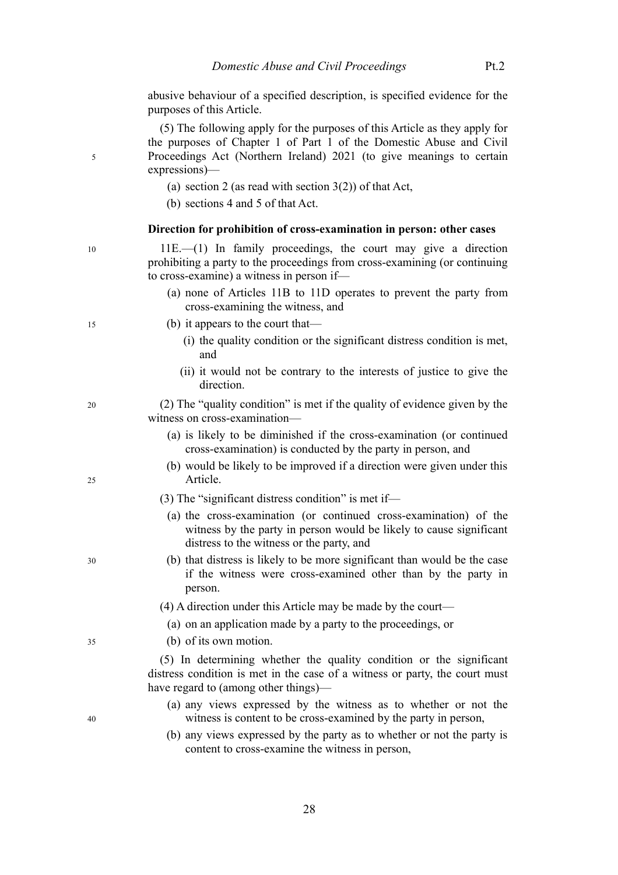abusive behaviour of a specified description, is specified evidence for the purposes of this Article.

(5) The following apply for the purposes of this Article as they apply for the purposes of Chapter 1 of Part 1 of the Domestic Abuse and Civil Proceedings Act (Northern Ireland) 2021 (to give meanings to certain expressions)—

- (a) section [2](#page-5-1) (as read with section  $3(2)$ ) of that Act,
- (b) sections [4](#page-6-1) and [5](#page-6-0) of that Act.

5

# **Direction for prohibition of cross-examination in person: other cases**

| 10 | $11E$ . (1) In family proceedings, the court may give a direction<br>prohibiting a party to the proceedings from cross-examining (or continuing<br>to cross-examine) a witness in person if— |
|----|----------------------------------------------------------------------------------------------------------------------------------------------------------------------------------------------|
|    | (a) none of Articles 11B to 11D operates to prevent the party from<br>cross-examining the witness, and                                                                                       |
| 15 | (b) it appears to the court that—                                                                                                                                                            |
|    | (i) the quality condition or the significant distress condition is met,<br>and                                                                                                               |
|    | (ii) it would not be contrary to the interests of justice to give the<br>direction.                                                                                                          |
| 20 | (2) The "quality condition" is met if the quality of evidence given by the<br>witness on cross-examination-                                                                                  |
|    | (a) is likely to be diminished if the cross-examination (or continued<br>cross-examination) is conducted by the party in person, and                                                         |
| 25 | (b) would be likely to be improved if a direction were given under this<br>Article.                                                                                                          |
|    | $(3)$ The "significant distress condition" is met if—                                                                                                                                        |
|    | (a) the cross-examination (or continued cross-examination) of the<br>witness by the party in person would be likely to cause significant<br>distress to the witness or the party, and        |
| 30 | (b) that distress is likely to be more significant than would be the case<br>if the witness were cross-examined other than by the party in<br>person.                                        |
|    | (4) A direction under this Article may be made by the court—                                                                                                                                 |
|    | (a) on an application made by a party to the proceedings, or                                                                                                                                 |
| 35 | (b) of its own motion.                                                                                                                                                                       |
|    | (5) In determining whether the quality condition or the significant<br>distress condition is met in the case of a witness or party, the court must<br>have regard to (among other things)—   |
| 40 | (a) any views expressed by the witness as to whether or not the<br>witness is content to be cross-examined by the party in person,                                                           |
|    | (b) any views expressed by the party as to whether or not the party is<br>content to cross-examine the witness in person,                                                                    |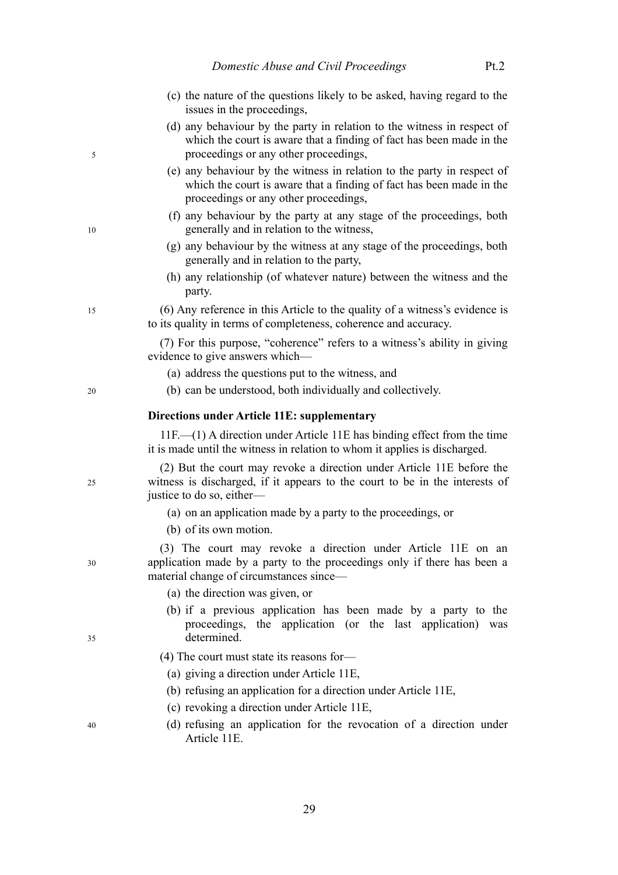#### *Domestic Abuse and Civil Proceedings* Pt.2

- 
- (c) the nature of the questions likely to be asked, having regard to the issues in the proceedings,
- (d) any behaviour by the party in relation to the witness in respect of which the court is aware that a finding of fact has been made in the proceedings or any other proceedings,
- (e) any behaviour by the witness in relation to the party in respect of which the court is aware that a finding of fact has been made in the proceedings or any other proceedings,
- (f) any behaviour by the party at any stage of the proceedings, both generally and in relation to the witness,
- (g) any behaviour by the witness at any stage of the proceedings, both generally and in relation to the party,
- (h) any relationship (of whatever nature) between the witness and the party.
- (6) Any reference in this Article to the quality of a witness's evidence is to its quality in terms of completeness, coherence and accuracy.

(7) For this purpose, "coherence" refers to a witness's ability in giving evidence to give answers which—

- (a) address the questions put to the witness, and
- (b) can be understood, both individually and collectively.

#### **Directions under Article 11E: supplementary**

11F.—(1) A direction under Article 11E has binding effect from the time it is made until the witness in relation to whom it applies is discharged.

(2) But the court may revoke a direction under Article 11E before the witness is discharged, if it appears to the court to be in the interests of justice to do so, either—

- (a) on an application made by a party to the proceedings, or
- (b) of its own motion.

(3) The court may revoke a direction under Article 11E on an application made by a party to the proceedings only if there has been a material change of circumstances since—

- (a) the direction was given, or
- (b) if a previous application has been made by a party to the proceedings, the application (or the last application) was determined.

(4) The court must state its reasons for—

- (a) giving a direction under Article 11E,
- (b) refusing an application for a direction under Article 11E,
- (c) revoking a direction under Article 11E,
- (d) refusing an application for the revocation of a direction under Article 11E.
	- 29

30

35

40

25

5

10

15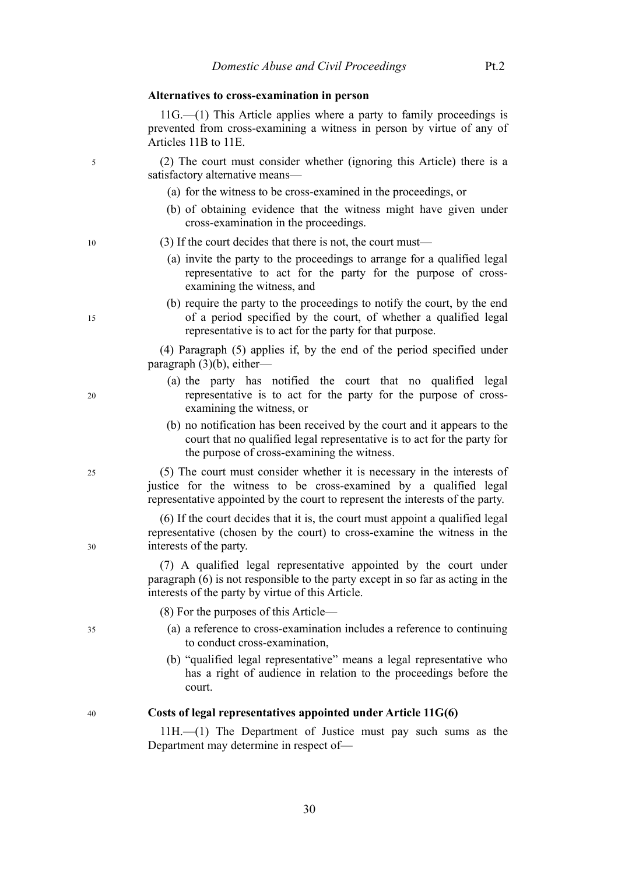#### **Alternatives to cross-examination in person**

 $11G$ — $(1)$  This Article applies where a party to family proceedings is prevented from cross-examining a witness in person by virtue of any of Articles 11B to 11E.

(2) The court must consider whether (ignoring this Article) there is a satisfactory alternative means—

- (a) for the witness to be cross-examined in the proceedings, or
- (b) of obtaining evidence that the witness might have given under cross-examination in the proceedings.

(3) If the court decides that there is not, the court must—

- (a) invite the party to the proceedings to arrange for a qualified legal representative to act for the party for the purpose of crossexamining the witness, and
- (b) require the party to the proceedings to notify the court, by the end of a period specified by the court, of whether a qualified legal representative is to act for the party for that purpose.

(4) Paragraph (5) applies if, by the end of the period specified under paragraph (3)(b), either—

- (a) the party has notified the court that no qualified legal representative is to act for the party for the purpose of crossexamining the witness, or
- (b) no notification has been received by the court and it appears to the court that no qualified legal representative is to act for the party for the purpose of cross-examining the witness.

(5) The court must consider whether it is necessary in the interests of justice for the witness to be cross-examined by a qualified legal representative appointed by the court to represent the interests of the party.

(6) If the court decides that it is, the court must appoint a qualified legal representative (chosen by the court) to cross-examine the witness in the interests of the party.

(7) A qualified legal representative appointed by the court under paragraph (6) is not responsible to the party except in so far as acting in the interests of the party by virtue of this Article.

(8) For the purposes of this Article—

- (a) a reference to cross-examination includes a reference to continuing to conduct cross-examination,
- (b) "qualified legal representative" means a legal representative who has a right of audience in relation to the proceedings before the court.

40

5

10

15

 $20$ 

25

30

35

#### **Costs of legal representatives appointed under Article 11G(6)**

11H.—(1) The Department of Justice must pay such sums as the Department may determine in respect of—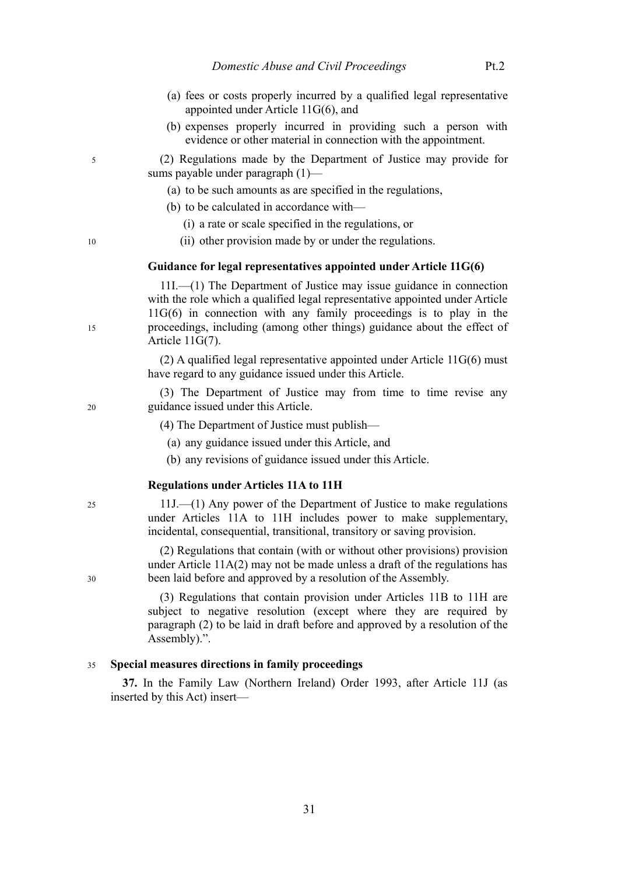|    | Domestic Abuse and Civil Proceedings<br>Pt.2                                                                                                                                                                                                                                                                                     |
|----|----------------------------------------------------------------------------------------------------------------------------------------------------------------------------------------------------------------------------------------------------------------------------------------------------------------------------------|
|    | (a) fees or costs properly incurred by a qualified legal representative<br>appointed under Article 11G(6), and                                                                                                                                                                                                                   |
|    | (b) expenses properly incurred in providing such a person with<br>evidence or other material in connection with the appointment.                                                                                                                                                                                                 |
| 5  | (2) Regulations made by the Department of Justice may provide for<br>sums payable under paragraph $(1)$ —                                                                                                                                                                                                                        |
|    | (a) to be such amounts as are specified in the regulations,<br>(b) to be calculated in accordance with—                                                                                                                                                                                                                          |
|    | (i) a rate or scale specified in the regulations, or                                                                                                                                                                                                                                                                             |
| 10 | (ii) other provision made by or under the regulations.                                                                                                                                                                                                                                                                           |
|    | Guidance for legal representatives appointed under Article 11G(6)                                                                                                                                                                                                                                                                |
| 15 | $11I$ . (1) The Department of Justice may issue guidance in connection<br>with the role which a qualified legal representative appointed under Article<br>$11G(6)$ in connection with any family proceedings is to play in the<br>proceedings, including (among other things) guidance about the effect of<br>Article $11G(7)$ . |
|    | $(2)$ A qualified legal representative appointed under Article 11G(6) must<br>have regard to any guidance issued under this Article.                                                                                                                                                                                             |
| 20 | (3) The Department of Justice may from time to time revise any<br>guidance issued under this Article.                                                                                                                                                                                                                            |
|    | (4) The Department of Justice must publish—                                                                                                                                                                                                                                                                                      |
|    | (a) any guidance issued under this Article, and                                                                                                                                                                                                                                                                                  |
|    | (b) any revisions of guidance issued under this Article.                                                                                                                                                                                                                                                                         |
|    | <b>Regulations under Articles 11A to 11H</b>                                                                                                                                                                                                                                                                                     |
| 25 | $11J$ .— $(1)$ Any power of the Department of Justice to make regulations<br>under Articles 11A to 11H includes power to make supplementary,<br>incidental, consequential, transitional, transitory or saving provision.                                                                                                         |
| 30 | (2) Regulations that contain (with or without other provisions) provision<br>under Article 11A(2) may not be made unless a draft of the regulations has<br>been laid before and approved by a resolution of the Assembly.                                                                                                        |
|    | (3) Regulations that contain provision under Articles 11B to 11H are<br>subject to negative resolution (except where they are required by<br>paragraph (2) to be laid in draft before and approved by a resolution of the<br>Assembly).".                                                                                        |

#### **Special measures directions in family proceedings** 35

**37.** In the Family Law (Northern Ireland) Order 1993, after Article 11J (as inserted by this Act) insert—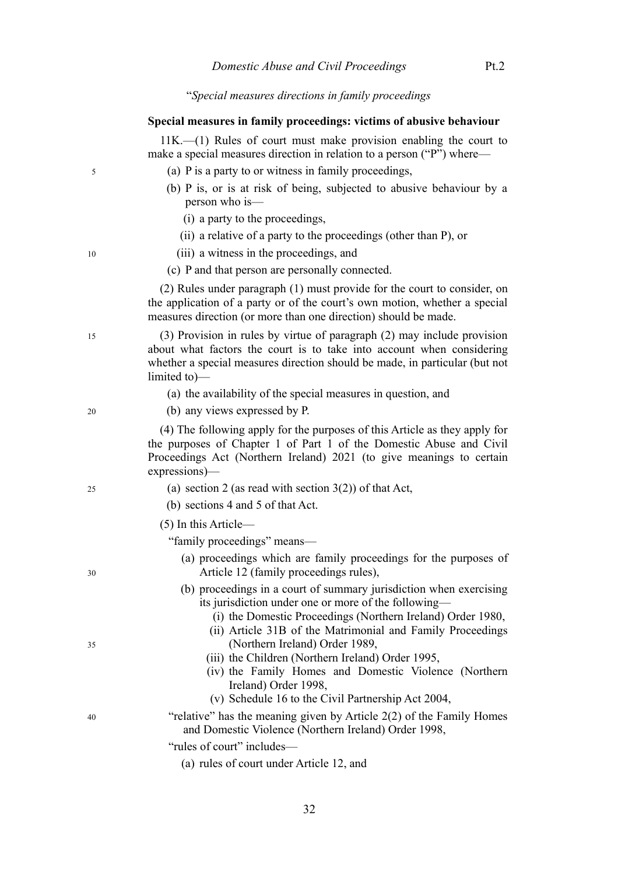"*Special measures directions in family proceedings*

#### **Special measures in family proceedings: victims of abusive behaviour**

11K.—(1) Rules of court must make provision enabling the court to make a special measures direction in relation to a person ("P") where—

- (a) P is a party to or witness in family proceedings,
- (b) P is, or is at risk of being, subjected to abusive behaviour by a person who is—
	- (i) a party to the proceedings,
	- (ii) a relative of a party to the proceedings (other than P), or
	- (iii) a witness in the proceedings, and
- (c) P and that person are personally connected.

(2) Rules under paragraph (1) must provide for the court to consider, on the application of a party or of the court's own motion, whether a special measures direction (or more than one direction) should be made.

(3) Provision in rules by virtue of paragraph (2) may include provision about what factors the court is to take into account when considering whether a special measures direction should be made, in particular (but not limited to)—

- (a) the availability of the special measures in question, and
- (b) any views expressed by P.

(4) The following apply for the purposes of this Article as they apply for the purposes of Chapter 1 of Part 1 of the Domestic Abuse and Civil Proceedings Act (Northern Ireland) 2021 (to give meanings to certain expressions)—

- (a) section 2 (as read with section  $3(2)$ ) of that Act,
- (b) sections 4 and 5 of that Act.
- (5) In this Article—

"family proceedings" means—

- (a) proceedings which are family proceedings for the purposes of Article 12 (family proceedings rules),
- (b) proceedings in a court of summary jurisdiction when exercising its jurisdiction under one or more of the following—
	- (i) the Domestic Proceedings (Northern Ireland) Order 1980,
	- (ii) Article 31B of the Matrimonial and Family Proceedings (Northern Ireland) Order 1989,
	- (iii) the Children (Northern Ireland) Order 1995,
	- (iv) the Family Homes and Domestic Violence (Northern Ireland) Order 1998,
	- (v) Schedule 16 to the Civil Partnership Act 2004,
- "relative" has the meaning given by Article 2(2) of the Family Homes and Domestic Violence (Northern Ireland) Order 1998,
	- "rules of court" includes—
		- (a) rules of court under Article 12, and

30

35

40

5

10

15

 $20$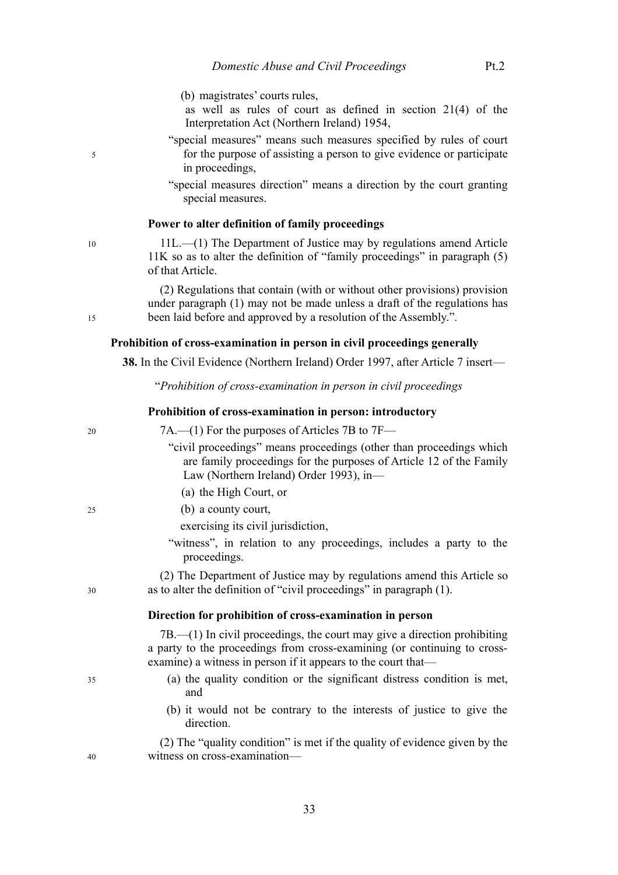(b) magistrates' courts rules,

as well as rules of court as defined in section 21(4) of the Interpretation Act (Northern Ireland) 1954,

- "special measures" means such measures specified by rules of court for the purpose of assisting a person to give evidence or participate in proceedings,
- "special measures direction" means a direction by the court granting special measures.

## **Power to alter definition of family proceedings**

10

15

5

11L.—(1) The Department of Justice may by regulations amend Article 11K so as to alter the definition of "family proceedings" in paragraph (5) of that Article.

(2) Regulations that contain (with or without other provisions) provision under paragraph (1) may not be made unless a draft of the regulations has been laid before and approved by a resolution of the Assembly.".

#### **Prohibition of cross-examination in person in civil proceedings generally**

**38.** In the Civil Evidence (Northern Ireland) Order 1997, after Article 7 insert—

"*Prohibition of cross-examination in person in civil proceedings*

#### **Prohibition of cross-examination in person: introductory**

| 20 | $7A$ .—(1) For the purposes of Articles 7B to $7F$ —                                                                                                                                                                       |
|----|----------------------------------------------------------------------------------------------------------------------------------------------------------------------------------------------------------------------------|
|    | "civil proceedings" means proceedings (other than proceedings which<br>are family proceedings for the purposes of Article 12 of the Family<br>Law (Northern Ireland) Order 1993), in-                                      |
|    | (a) the High Court, or                                                                                                                                                                                                     |
| 25 | (b) a county court,                                                                                                                                                                                                        |
|    | exercising its civil jurisdiction,                                                                                                                                                                                         |
|    | "witness", in relation to any proceedings, includes a party to the<br>proceedings.                                                                                                                                         |
| 30 | (2) The Department of Justice may by regulations amend this Article so<br>as to alter the definition of "civil proceedings" in paragraph (1).                                                                              |
|    | Direction for prohibition of cross-examination in person                                                                                                                                                                   |
|    | $7B$ — $(1)$ In civil proceedings, the court may give a direction prohibiting<br>a party to the proceedings from cross-examining (or continuing to cross-<br>examine) a witness in person if it appears to the court that— |
| 35 | (a) the quality condition or the significant distress condition is met,<br>and                                                                                                                                             |
|    | (b) it would not be contrary to the interests of justice to give the<br>direction.                                                                                                                                         |
|    | (2) The "quality condition" is met if the quality of evidence given by the                                                                                                                                                 |

witness on cross-examination—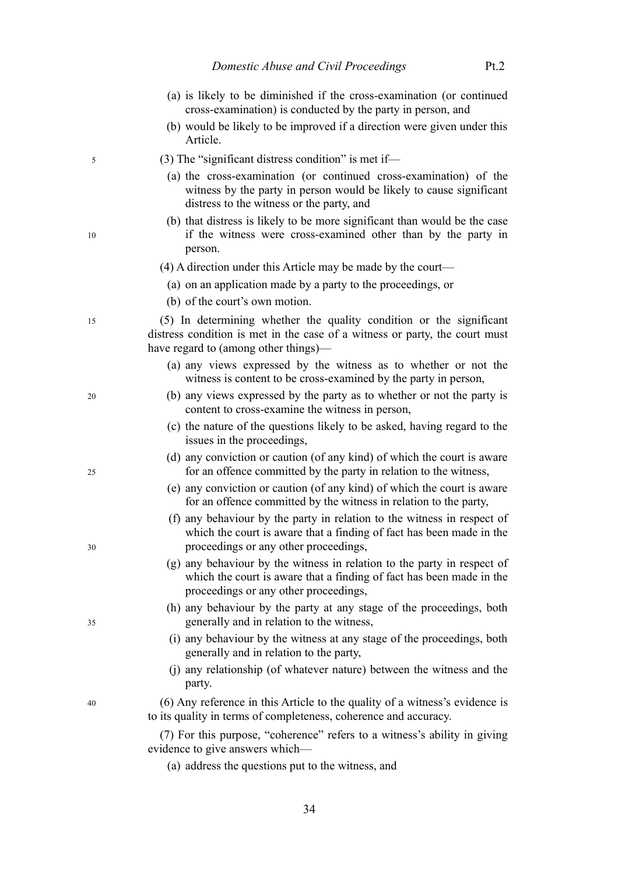|    | Domestic Abuse and Civil Proceedings                                                                                                                                                       | Pt.2 |
|----|--------------------------------------------------------------------------------------------------------------------------------------------------------------------------------------------|------|
|    | (a) is likely to be diminished if the cross-examination (or continued<br>cross-examination) is conducted by the party in person, and                                                       |      |
|    | (b) would be likely to be improved if a direction were given under this<br>Article.                                                                                                        |      |
| 5  | $(3)$ The "significant distress condition" is met if—                                                                                                                                      |      |
|    | (a) the cross-examination (or continued cross-examination) of the<br>witness by the party in person would be likely to cause significant<br>distress to the witness or the party, and      |      |
| 10 | (b) that distress is likely to be more significant than would be the case<br>if the witness were cross-examined other than by the party in<br>person.                                      |      |
|    | (4) A direction under this Article may be made by the court-                                                                                                                               |      |
|    | (a) on an application made by a party to the proceedings, or                                                                                                                               |      |
|    | (b) of the court's own motion.                                                                                                                                                             |      |
| 15 | (5) In determining whether the quality condition or the significant<br>distress condition is met in the case of a witness or party, the court must<br>have regard to (among other things)— |      |
|    | (a) any views expressed by the witness as to whether or not the<br>witness is content to be cross-examined by the party in person,                                                         |      |
| 20 | (b) any views expressed by the party as to whether or not the party is<br>content to cross-examine the witness in person,                                                                  |      |
|    | (c) the nature of the questions likely to be asked, having regard to the<br>issues in the proceedings,                                                                                     |      |
| 25 | (d) any conviction or caution (of any kind) of which the court is aware<br>for an offence committed by the party in relation to the witness,                                               |      |
|    | (e) any conviction or caution (of any kind) of which the court is aware<br>for an offence committed by the witness in relation to the party,                                               |      |
| 30 | (f) any behaviour by the party in relation to the witness in respect of<br>which the court is aware that a finding of fact has been made in the<br>proceedings or any other proceedings,   |      |
|    | (g) any behaviour by the witness in relation to the party in respect of<br>which the court is aware that a finding of fact has been made in the<br>proceedings or any other proceedings,   |      |
| 35 | (h) any behaviour by the party at any stage of the proceedings, both<br>generally and in relation to the witness,                                                                          |      |
|    | (i) any behaviour by the witness at any stage of the proceedings, both<br>generally and in relation to the party,                                                                          |      |
|    | (j) any relationship (of whatever nature) between the witness and the<br>party.                                                                                                            |      |
| 40 | (6) Any reference in this Article to the quality of a witness's evidence is<br>to its quality in terms of completeness, coherence and accuracy.                                            |      |
|    | (7) For this purpose, "coherence" refers to a witness's ability in giving<br>evidence to give answers which-                                                                               |      |
|    | (a) address the questions put to the witness, and                                                                                                                                          |      |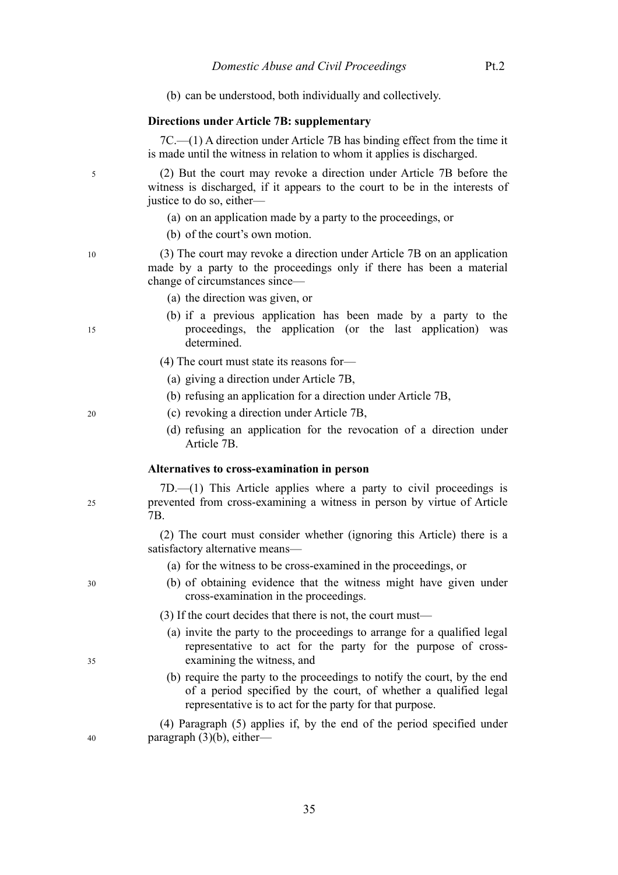|    | Domestic Abuse and Civil Proceedings                                                                                                                                                                     | Pt.2 |
|----|----------------------------------------------------------------------------------------------------------------------------------------------------------------------------------------------------------|------|
|    | (b) can be understood, both individually and collectively.                                                                                                                                               |      |
|    | <b>Directions under Article 7B: supplementary</b>                                                                                                                                                        |      |
|    | $7C$ — $(1)$ A direction under Article 7B has binding effect from the time it<br>is made until the witness in relation to whom it applies is discharged.                                                 |      |
| 5  | (2) But the court may revoke a direction under Article 7B before the<br>witness is discharged, if it appears to the court to be in the interests of<br>justice to do so, either-                         |      |
|    | (a) on an application made by a party to the proceedings, or<br>(b) of the court's own motion.                                                                                                           |      |
| 10 | (3) The court may revoke a direction under Article 7B on an application<br>made by a party to the proceedings only if there has been a material<br>change of circumstances since—                        |      |
| 15 | (a) the direction was given, or<br>(b) if a previous application has been made by a party to the<br>proceedings, the application (or the last application)<br>determined.                                | was  |
|    | $(4)$ The court must state its reasons for-                                                                                                                                                              |      |
|    | (a) giving a direction under Article 7B,                                                                                                                                                                 |      |
|    | (b) refusing an application for a direction under Article 7B,                                                                                                                                            |      |
| 20 | (c) revoking a direction under Article 7B,<br>(d) refusing an application for the revocation of a direction under<br>Article 7B.                                                                         |      |
|    | Alternatives to cross-examination in person                                                                                                                                                              |      |
| 25 | $7D$ — $(1)$ This Article applies where a party to civil proceedings is<br>prevented from cross-examining a witness in person by virtue of Article<br>7В.                                                |      |
|    | (2) The court must consider whether (ignoring this Article) there is a<br>satisfactory alternative means-                                                                                                |      |
|    | (a) for the witness to be cross-examined in the proceedings, or                                                                                                                                          |      |
| 30 | (b) of obtaining evidence that the witness might have given under<br>cross-examination in the proceedings.                                                                                               |      |
|    | (3) If the court decides that there is not, the court must—                                                                                                                                              |      |
| 35 | (a) invite the party to the proceedings to arrange for a qualified legal<br>representative to act for the party for the purpose of cross-<br>examining the witness, and                                  |      |
|    | (b) require the party to the proceedings to notify the court, by the end<br>of a period specified by the court, of whether a qualified legal<br>representative is to act for the party for that purpose. |      |
| 40 | (4) Paragraph (5) applies if, by the end of the period specified under<br>paragraph $(3)(b)$ , either—                                                                                                   |      |
|    |                                                                                                                                                                                                          |      |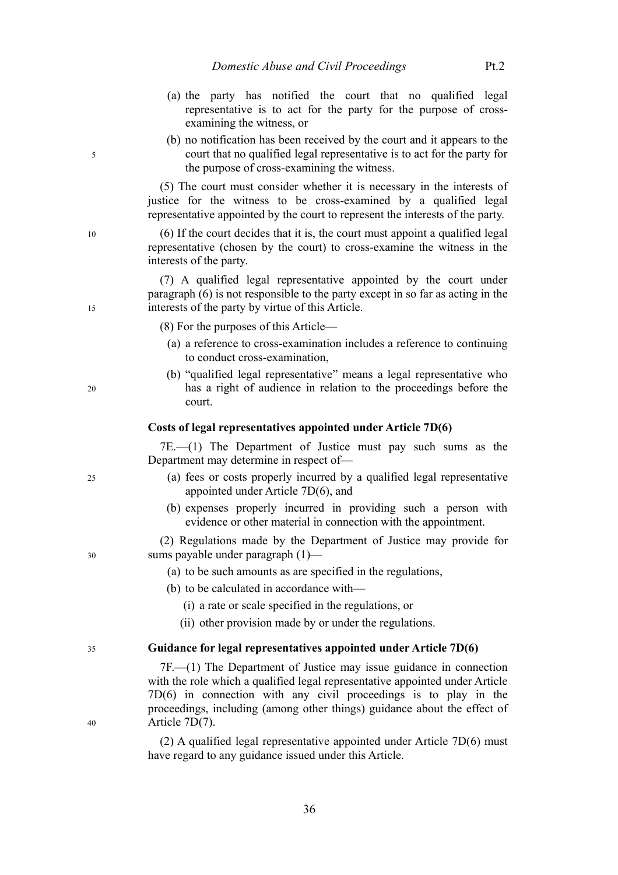- (a) the party has notified the court that no qualified legal representative is to act for the party for the purpose of crossexamining the witness, or
- (b) no notification has been received by the court and it appears to the court that no qualified legal representative is to act for the party for the purpose of cross-examining the witness.

(5) The court must consider whether it is necessary in the interests of justice for the witness to be cross-examined by a qualified legal representative appointed by the court to represent the interests of the party.

(6) If the court decides that it is, the court must appoint a qualified legal representative (chosen by the court) to cross-examine the witness in the interests of the party.

(7) A qualified legal representative appointed by the court under paragraph (6) is not responsible to the party except in so far as acting in the interests of the party by virtue of this Article.

(8) For the purposes of this Article—

5

10

15

20

25

 $30$ 

40

- (a) a reference to cross-examination includes a reference to continuing to conduct cross-examination,
- (b) "qualified legal representative" means a legal representative who has a right of audience in relation to the proceedings before the court.

#### **Costs of legal representatives appointed under Article 7D(6)**

7E.—(1) The Department of Justice must pay such sums as the Department may determine in respect of—

- (a) fees or costs properly incurred by a qualified legal representative appointed under Article 7D(6), and
- (b) expenses properly incurred in providing such a person with evidence or other material in connection with the appointment.

(2) Regulations made by the Department of Justice may provide for sums payable under paragraph (1)—

- (a) to be such amounts as are specified in the regulations,
- (b) to be calculated in accordance with—

(i) a rate or scale specified in the regulations, or

(ii) other provision made by or under the regulations.

#### **Guidance for legal representatives appointed under Article 7D(6)** 35

7F.—(1) The Department of Justice may issue guidance in connection with the role which a qualified legal representative appointed under Article 7D(6) in connection with any civil proceedings is to play in the proceedings, including (among other things) guidance about the effect of Article 7D(7).

(2) A qualified legal representative appointed under Article 7D(6) must have regard to any guidance issued under this Article.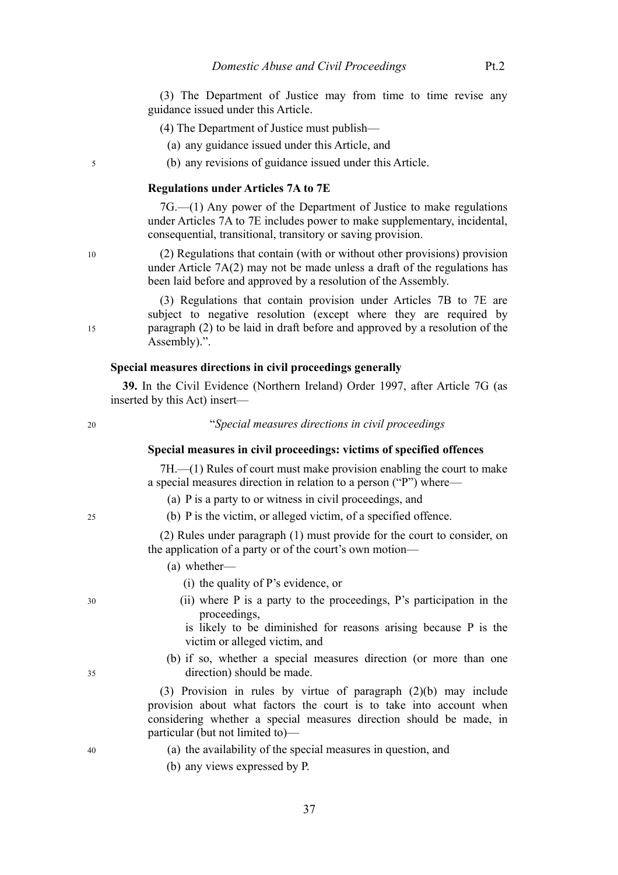(3) The Department of Justice may from time to time revise any guidance issued under this Article.

(4) The Department of Justice must publish—

- (a) any guidance issued under this Article, and
- (b) any revisions of guidance issued under this Article.

#### **Regulations under Articles 7A to 7E**

7G.—(1) Any power of the Department of Justice to make regulations under Articles 7A to 7E includes power to make supplementary, incidental, consequential, transitional, transitory or saving provision.

(2) Regulations that contain (with or without other provisions) provision under Article 7A(2) may not be made unless a draft of the regulations has been laid before and approved by a resolution of the Assembly.

(3) Regulations that contain provision under Articles 7B to 7E are subject to negative resolution (except where they are required by paragraph (2) to be laid in draft before and approved by a resolution of the Assembly).".

#### **Special measures directions in civil proceedings generally**

**39.** In the Civil Evidence (Northern Ireland) Order 1997, after Article 7G (as inserted by this Act) insert—

20

#### "*Special measures directions in civil proceedings*

#### **Special measures in civil proceedings: victims of specified offences**

7H.—(1) Rules of court must make provision enabling the court to make a special measures direction in relation to a person ("P") where—

(a) P is a party to or witness in civil proceedings, and

(b) P is the victim, or alleged victim, of a specified offence.

(2) Rules under paragraph (1) must provide for the court to consider, on the application of a party or of the court's own motion—

- (a) whether—
	- (i) the quality of P's evidence, or
	- (ii) where P is a party to the proceedings, P's participation in the proceedings,

is likely to be diminished for reasons arising because P is the victim or alleged victim, and

(b) if so, whether a special measures direction (or more than one direction) should be made.

(3) Provision in rules by virtue of paragraph (2)(b) may include provision about what factors the court is to take into account when considering whether a special measures direction should be made, in particular (but not limited to)—

- (a) the availability of the special measures in question, and
- (b) any views expressed by P.

 $25$ 

 $30$ 

35

40

15

5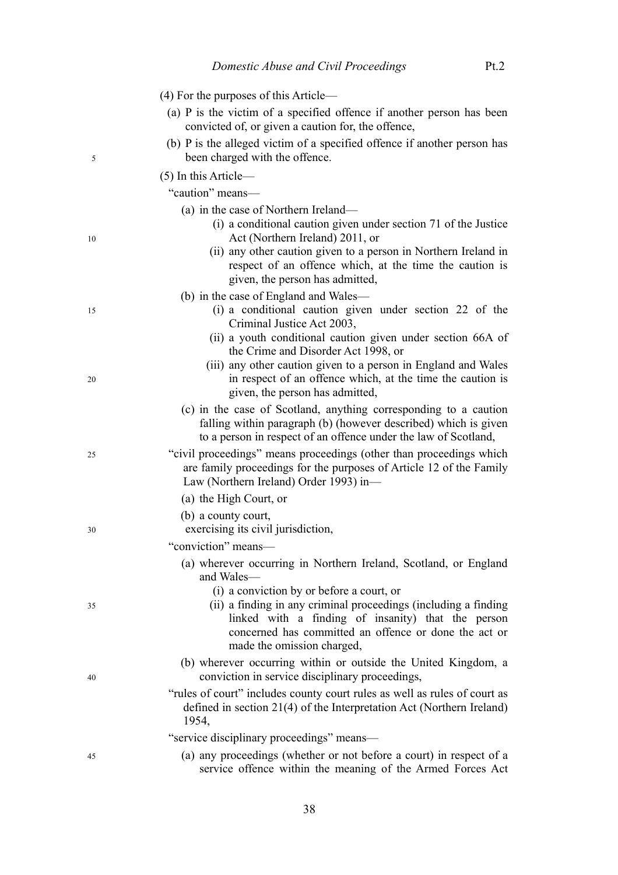|    | $(4)$ For the purposes of this Article—                                                                                                                                                                                                                                                                     |
|----|-------------------------------------------------------------------------------------------------------------------------------------------------------------------------------------------------------------------------------------------------------------------------------------------------------------|
|    | (a) P is the victim of a specified offence if another person has been<br>convicted of, or given a caution for, the offence,                                                                                                                                                                                 |
| 5  | (b) P is the alleged victim of a specified offence if another person has<br>been charged with the offence.                                                                                                                                                                                                  |
|    | $(5)$ In this Article—                                                                                                                                                                                                                                                                                      |
|    | "caution" means-                                                                                                                                                                                                                                                                                            |
| 10 | (a) in the case of Northern Ireland—<br>(i) a conditional caution given under section 71 of the Justice<br>Act (Northern Ireland) 2011, or<br>(ii) any other caution given to a person in Northern Ireland in<br>respect of an offence which, at the time the caution is<br>given, the person has admitted, |
| 15 | (b) in the case of England and Wales—<br>(i) a conditional caution given under section 22 of the<br>Criminal Justice Act 2003,<br>(ii) a youth conditional caution given under section 66A of                                                                                                               |
| 20 | the Crime and Disorder Act 1998, or<br>(iii) any other caution given to a person in England and Wales<br>in respect of an offence which, at the time the caution is<br>given, the person has admitted,                                                                                                      |
| 25 | (c) in the case of Scotland, anything corresponding to a caution<br>falling within paragraph (b) (however described) which is given<br>to a person in respect of an offence under the law of Scotland,<br>"civil proceedings" means proceedings (other than proceedings which                               |
|    | are family proceedings for the purposes of Article 12 of the Family<br>Law (Northern Ireland) Order 1993) in-                                                                                                                                                                                               |
|    | (a) the High Court, or                                                                                                                                                                                                                                                                                      |
| 30 | (b) a county court,<br>exercising its civil jurisdiction,                                                                                                                                                                                                                                                   |
|    | "conviction" means-                                                                                                                                                                                                                                                                                         |
|    | (a) wherever occurring in Northern Ireland, Scotland, or England<br>and Wales-<br>(i) a conviction by or before a court, or                                                                                                                                                                                 |
| 35 | (ii) a finding in any criminal proceedings (including a finding<br>linked with a finding of insanity) that the person<br>concerned has committed an offence or done the act or<br>made the omission charged,                                                                                                |
| 40 | (b) wherever occurring within or outside the United Kingdom, a<br>conviction in service disciplinary proceedings,                                                                                                                                                                                           |
|    | "rules of court" includes county court rules as well as rules of court as<br>defined in section 21(4) of the Interpretation Act (Northern Ireland)<br>1954,                                                                                                                                                 |
|    | "service disciplinary proceedings" means—                                                                                                                                                                                                                                                                   |
| 45 | (a) any proceedings (whether or not before a court) in respect of a<br>service offence within the meaning of the Armed Forces Act                                                                                                                                                                           |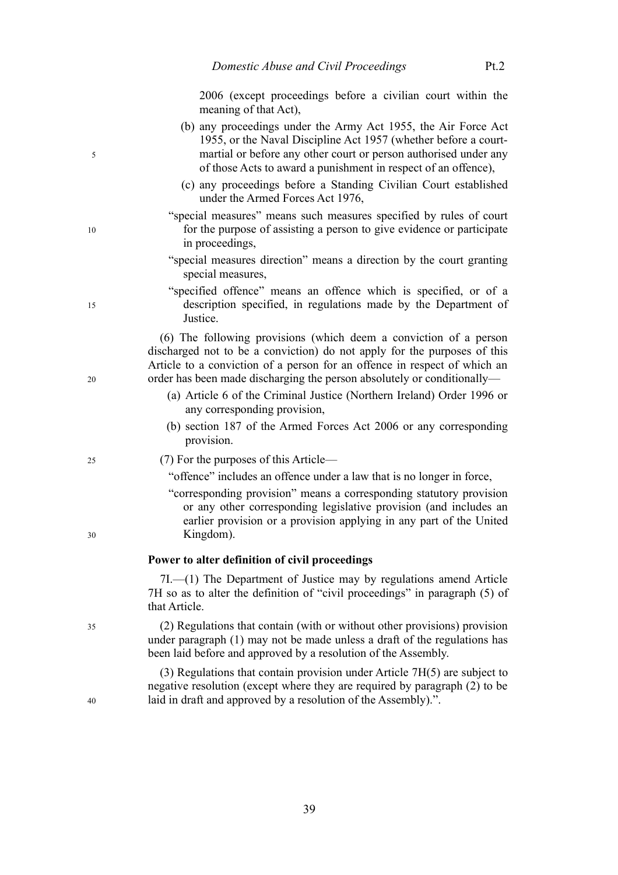|    | 2006 (except proceedings before a civilian court within the<br>meaning of that Act),                                                                                                                                                                                                                  |
|----|-------------------------------------------------------------------------------------------------------------------------------------------------------------------------------------------------------------------------------------------------------------------------------------------------------|
| 5  | (b) any proceedings under the Army Act 1955, the Air Force Act<br>1955, or the Naval Discipline Act 1957 (whether before a court-<br>martial or before any other court or person authorised under any<br>of those Acts to award a punishment in respect of an offence),                               |
|    | (c) any proceedings before a Standing Civilian Court established<br>under the Armed Forces Act 1976,                                                                                                                                                                                                  |
| 10 | "special measures" means such measures specified by rules of court<br>for the purpose of assisting a person to give evidence or participate<br>in proceedings,                                                                                                                                        |
|    | "special measures direction" means a direction by the court granting<br>special measures,                                                                                                                                                                                                             |
| 15 | "specified offence" means an offence which is specified, or of a<br>description specified, in regulations made by the Department of<br>Justice.                                                                                                                                                       |
| 20 | (6) The following provisions (which deem a conviction of a person<br>discharged not to be a conviction) do not apply for the purposes of this<br>Article to a conviction of a person for an offence in respect of which an<br>order has been made discharging the person absolutely or conditionally- |
|    | (a) Article 6 of the Criminal Justice (Northern Ireland) Order 1996 or<br>any corresponding provision,                                                                                                                                                                                                |
|    | (b) section 187 of the Armed Forces Act 2006 or any corresponding<br>provision.                                                                                                                                                                                                                       |
| 25 | (7) For the purposes of this Article-                                                                                                                                                                                                                                                                 |
|    | "offence" includes an offence under a law that is no longer in force,                                                                                                                                                                                                                                 |
| 30 | "corresponding provision" means a corresponding statutory provision<br>or any other corresponding legislative provision (and includes an<br>earlier provision or a provision applying in any part of the United<br>Kingdom).                                                                          |
|    | Power to alter definition of civil proceedings                                                                                                                                                                                                                                                        |
|    | $7I$ . $- (1)$ The Department of Justice may by regulations amend Article<br>7H so as to alter the definition of "civil proceedings" in paragraph (5) of<br>that Article.                                                                                                                             |
| 35 | (2) Regulations that contain (with or without other provisions) provision<br>under paragraph (1) may not be made unless a draft of the regulations has<br>been laid before and approved by a resolution of the Assembly.                                                                              |
| 40 | $(3)$ Regulations that contain provision under Article 7H $(5)$ are subject to<br>negative resolution (except where they are required by paragraph (2) to be<br>laid in draft and approved by a resolution of the Assembly).".                                                                        |
|    |                                                                                                                                                                                                                                                                                                       |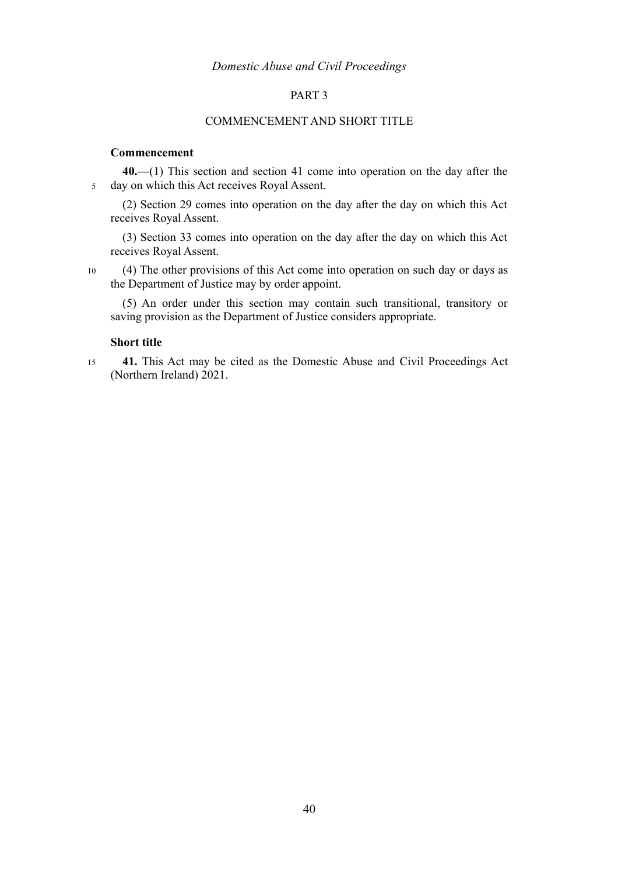# PART 3

# COMMENCEMENT AND SHORT TITLE

## **Commencement**

**40.**—(1) This section and section [41](#page-43-0) come into operation on the day after the day on which this Act receives Royal Assent. 5

(2) Section 29 comes into operation on the day after the day on which this Act receives Royal Assent.

(3) Section 33 comes into operation on the day after the day on which this Act receives Royal Assent.

10

(4) The other provisions of this Act come into operation on such day or days as the Department of Justice may by order appoint.

(5) An order under this section may contain such transitional, transitory or saving provision as the Department of Justice considers appropriate.

### <span id="page-43-0"></span>**Short title**

15

**41.** This Act may be cited as the Domestic Abuse and Civil Proceedings Act (Northern Ireland) 2021.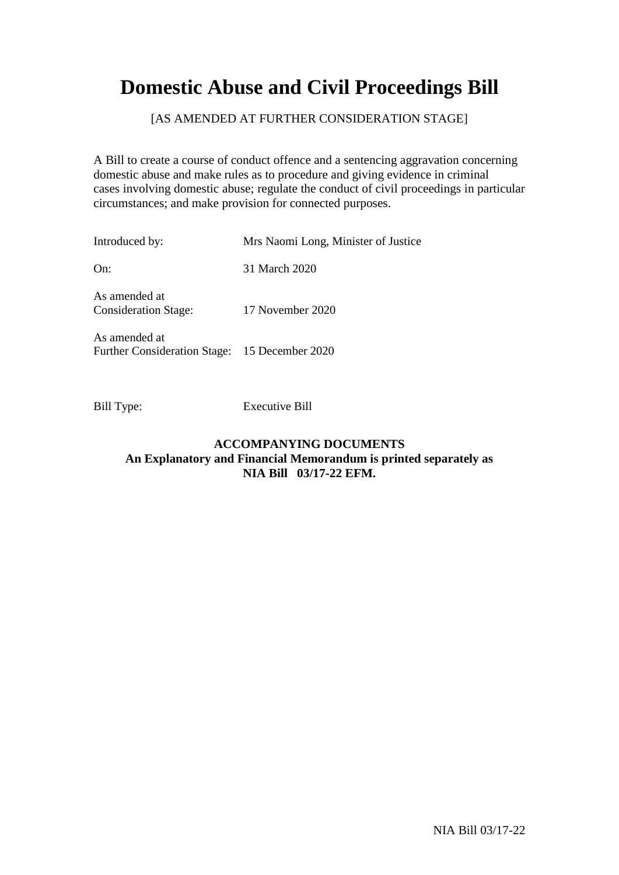# **Domestic Abuse and Civil Proceedings Bill**

[AS AMENDED AT FURTHER CONSIDERATION STAGE]

A Bill to create a course of conduct offence and a sentencing aggravation concerning domestic abuse and make rules as to procedure and giving evidence in criminal cases involving domestic abuse; regulate the conduct of civil proceedings in particular circumstances; and make provision for connected purposes.

| Introduced by:                                                 | Mrs Naomi Long, Minister of Justice |
|----------------------------------------------------------------|-------------------------------------|
| On:                                                            | 31 March 2020                       |
| As amended at<br><b>Consideration Stage:</b>                   | 17 November 2020                    |
| As amended at<br>Further Consideration Stage: 15 December 2020 |                                     |

Bill Type: Executive Bill

# **ACCOMPANYING DOCUMENTS An Explanatory and Financial Memorandum is printed separately as NIA Bill 03/17-22 EFM.**